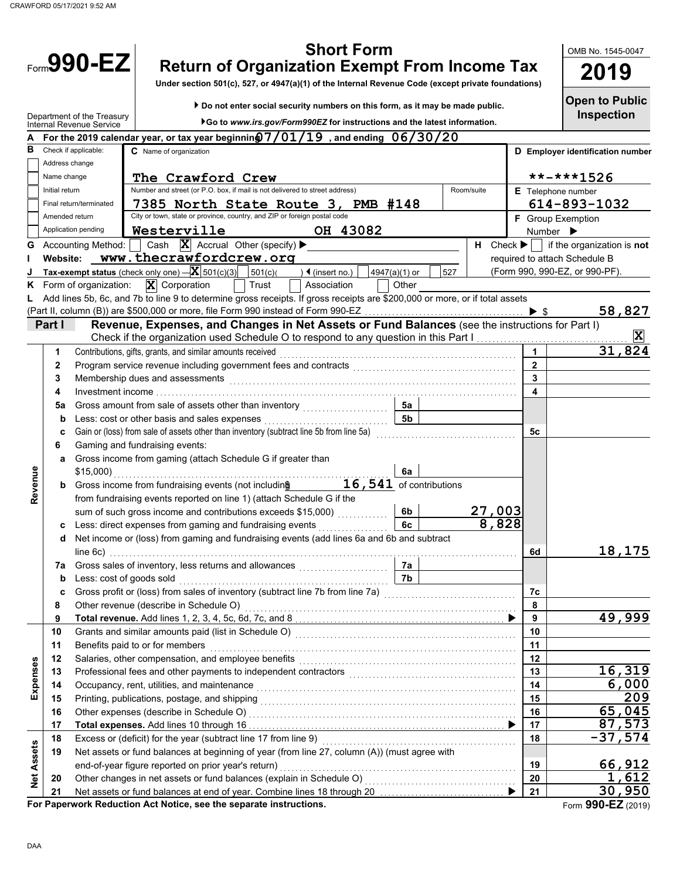|                   |                | <b>Short Form</b><br>$F_{\text{norm}}$ 990-EZ<br><b>Return of Organization Exempt From Income Tax</b><br>Under section 501(c), 527, or 4947(a)(1) of the Internal Revenue Code (except private foundations)                                                 |                              | OMB No. 1545-0047<br>2019                                                                            |
|-------------------|----------------|-------------------------------------------------------------------------------------------------------------------------------------------------------------------------------------------------------------------------------------------------------------|------------------------------|------------------------------------------------------------------------------------------------------|
|                   |                | Do not enter social security numbers on this form, as it may be made public.<br>Department of the Treasury<br>Go to www.irs.gov/Form990EZ for instructions and the latest information.<br>Internal Revenue Service                                          |                              | <b>Open to Public</b><br><b>Inspection</b>                                                           |
|                   |                | For the 2019 calendar year, or tax year beginning $7/01/19$ , and ending $06/30/20$                                                                                                                                                                         |                              |                                                                                                      |
| в                 |                | Check if applicable:<br>C Name of organization                                                                                                                                                                                                              |                              | D Employer identification number                                                                     |
|                   | Address change |                                                                                                                                                                                                                                                             |                              |                                                                                                      |
|                   | Name change    | The Crawford Crew                                                                                                                                                                                                                                           |                              | **-***1526                                                                                           |
|                   | Initial return | Number and street (or P.O. box, if mail is not delivered to street address)<br>Room/suite                                                                                                                                                                   | E Telephone number           |                                                                                                      |
|                   |                | 7385 North State Route 3, PMB #148<br>Final return/terminated<br>City or town, state or province, country, and ZIP or foreign postal code                                                                                                                   |                              | 614-893-1032                                                                                         |
|                   | Amended return | Westerville<br>Application pending<br>OH 43082                                                                                                                                                                                                              | F Group Exemption            |                                                                                                      |
|                   |                | Cash $\overline{X}$ Accrual Other (specify) $\blacktriangleright$<br><b>Accounting Method:</b>                                                                                                                                                              | Number $\blacktriangleright$ |                                                                                                      |
| G                 | Website:       | www.thecrawfordcrew.org                                                                                                                                                                                                                                     |                              | $H$ Check $\blacktriangleright$   if the organization is <b>not</b><br>required to attach Schedule B |
|                   |                | Tax-exempt status (check only one) $-\mathbf{X}$ 501(c)(3)<br>501(c)<br>) ◀ (insert no.)<br>527<br>4947(a)(1) or                                                                                                                                            |                              | (Form 990, 990-EZ, or 990-PF).                                                                       |
| κ                 |                | $\mathbf{X}$ Corporation<br>Form of organization:<br>Association<br>Other<br>Trust                                                                                                                                                                          |                              |                                                                                                      |
|                   |                | Add lines 5b, 6c, and 7b to line 9 to determine gross receipts. If gross receipts are \$200,000 or more, or if total assets                                                                                                                                 |                              |                                                                                                      |
|                   |                |                                                                                                                                                                                                                                                             |                              | 58,827                                                                                               |
|                   | Part I         | Revenue, Expenses, and Changes in Net Assets or Fund Balances (see the instructions for Part I)                                                                                                                                                             |                              |                                                                                                      |
|                   |                | Check if the organization used Schedule O to respond to any question in this Part I [                                                                                                                                                                       |                              |                                                                                                      |
|                   | 1              | Contributions, gifts, grants, and similar amounts received                                                                                                                                                                                                  | 1                            | 31,824                                                                                               |
|                   | 2              |                                                                                                                                                                                                                                                             | $\overline{2}$               |                                                                                                      |
|                   | 3              | Membership dues and assessments <b>constructed and assessments constructed and assessments</b>                                                                                                                                                              | $\overline{\mathbf{3}}$      |                                                                                                      |
|                   | 4              |                                                                                                                                                                                                                                                             | $\overline{\mathbf{4}}$      |                                                                                                      |
|                   | 5a             | Gross amount from sale of assets other than inventory [[[[[[[[[[[[[[[[[[[[[[[[[[[]]]]]]]]]<br>5а                                                                                                                                                            |                              |                                                                                                      |
|                   | b              | 5 <sub>b</sub><br>Less: cost or other basis and sales expenses<br>Gain or (loss) from sale of assets other than inventory (subtract line 5b from line 5a)                                                                                                   | 5c                           |                                                                                                      |
|                   | c<br>6         | Gaming and fundraising events:                                                                                                                                                                                                                              |                              |                                                                                                      |
|                   | а              | Gross income from gaming (attach Schedule G if greater than                                                                                                                                                                                                 |                              |                                                                                                      |
|                   |                | $$15,000$ )<br>6a                                                                                                                                                                                                                                           |                              |                                                                                                      |
| Revenue           |                | 16,541 of contributions<br><b>b</b> Gross income from fundraising events (not including)                                                                                                                                                                    |                              |                                                                                                      |
|                   |                | from fundraising events reported on line 1) (attach Schedule G if the                                                                                                                                                                                       |                              |                                                                                                      |
|                   |                | 27,003<br>sum of such gross income and contributions exceeds \$15,000)<br>6b                                                                                                                                                                                |                              |                                                                                                      |
|                   |                | 8,828<br>Less: direct expenses from gaming and fundraising events<br>6c<br>.                                                                                                                                                                                |                              |                                                                                                      |
|                   | d              | Net income or (loss) from gaming and fundraising events (add lines 6a and 6b and subtract                                                                                                                                                                   |                              |                                                                                                      |
|                   |                | line 6c)                                                                                                                                                                                                                                                    | 6d                           | 18,175                                                                                               |
|                   | 7a             | 7a<br>7b                                                                                                                                                                                                                                                    |                              |                                                                                                      |
|                   | b<br>c         | Less: cost of goods sold<br>Gross profit or (loss) from sales of inventory (subtract line 7b from line 7a)<br>Since 76 and 20 and 20 and 20 and 20 and 20 and 20 and 20 and 20 and 20 and 20 and 20 and 20 and 20 and 20 and 20 and 20 and 20 and 20 and 20 | 7c                           |                                                                                                      |
|                   | 8              | Other revenue (describe in Schedule O)                                                                                                                                                                                                                      | 8                            |                                                                                                      |
|                   | 9              |                                                                                                                                                                                                                                                             | 9                            | 49,999                                                                                               |
|                   | 10             |                                                                                                                                                                                                                                                             | 10                           |                                                                                                      |
|                   | 11             | Benefits paid to or for members                                                                                                                                                                                                                             | 11                           |                                                                                                      |
|                   | 12             | Salaries, other compensation, and employee benefits                                                                                                                                                                                                         | 12                           |                                                                                                      |
|                   | 13             |                                                                                                                                                                                                                                                             | 13                           | 16,319                                                                                               |
| Expenses          | 14             | Occupancy, rent, utilities, and maintenance                                                                                                                                                                                                                 | 14                           | 6,000                                                                                                |
|                   | 15             |                                                                                                                                                                                                                                                             | 15                           | 209                                                                                                  |
|                   | 16             |                                                                                                                                                                                                                                                             | 16                           | 65,045                                                                                               |
|                   | 17             |                                                                                                                                                                                                                                                             | 17                           | 87,573                                                                                               |
|                   | 18             | Excess or (deficit) for the year (subtract line 17 from line 9)                                                                                                                                                                                             | 18                           | $-37,574$                                                                                            |
| <b>Net Assets</b> | 19             | Net assets or fund balances at beginning of year (from line 27, column (A)) (must agree with<br>end-of-year figure reported on prior year's return)                                                                                                         | 19                           | 66,912                                                                                               |
|                   | 20             |                                                                                                                                                                                                                                                             | 20                           | 1,612                                                                                                |
|                   | 21             |                                                                                                                                                                                                                                                             | 21                           | 30,950                                                                                               |
|                   |                | For Paperwork Reduction Act Notice, see the separate instructions.                                                                                                                                                                                          |                              | Form 990-EZ (2019)                                                                                   |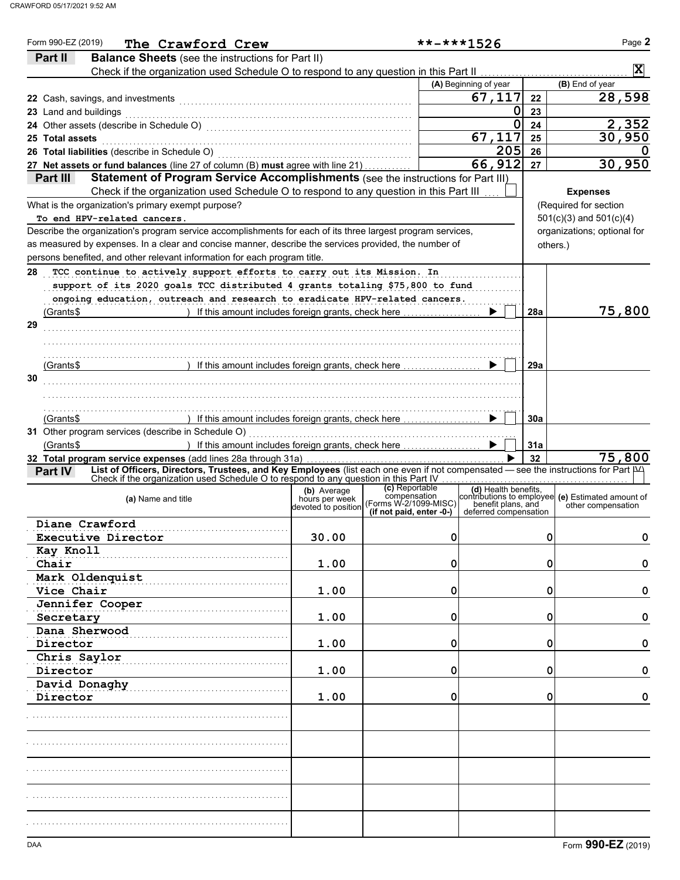| Form 990-EZ (2019)<br>The Crawford Crew                                                                                                                                                                                       |                               |                                                   | $******1526$          |     | Page 2                                                                                                            |
|-------------------------------------------------------------------------------------------------------------------------------------------------------------------------------------------------------------------------------|-------------------------------|---------------------------------------------------|-----------------------|-----|-------------------------------------------------------------------------------------------------------------------|
| Part II<br><b>Balance Sheets</b> (see the instructions for Part II)                                                                                                                                                           |                               |                                                   |                       |     |                                                                                                                   |
| Check if the organization used Schedule O to respond to any question in this Part II [11] [11] Check if the organization used Schedule O to respond to any question in this Part II                                           |                               |                                                   |                       |     | $\vert \mathbf{X} \vert$                                                                                          |
|                                                                                                                                                                                                                               |                               |                                                   | (A) Beginning of year |     | (B) End of year                                                                                                   |
|                                                                                                                                                                                                                               |                               |                                                   | 67,117                | 22  | 28,598                                                                                                            |
| 23 Land and buildings                                                                                                                                                                                                         |                               |                                                   | 0                     | 23  |                                                                                                                   |
| 24 Other assets (describe in Schedule O) [11] content to the content of the content of the content of the content of the content of the content of the content of the content of the content of the content of the content of |                               |                                                   | 0                     | 24  | 2,352                                                                                                             |
| 25 Total assets                                                                                                                                                                                                               |                               |                                                   | 67,117                | 25  | 30,950                                                                                                            |
| 26 Total liabilities (describe in Schedule O) [11] Content Content of Total liabilities (describe in Schedule O                                                                                                               |                               |                                                   | 205                   | 26  |                                                                                                                   |
| 27 Net assets or fund balances (line 27 of column (B) must agree with line 21)                                                                                                                                                |                               |                                                   | 66, 912               | 27  | 30,950                                                                                                            |
| Part III<br>Statement of Program Service Accomplishments (see the instructions for Part III)                                                                                                                                  |                               |                                                   |                       |     |                                                                                                                   |
| Check if the organization used Schedule O to respond to any question in this Part III                                                                                                                                         |                               |                                                   |                       |     | <b>Expenses</b>                                                                                                   |
| What is the organization's primary exempt purpose?                                                                                                                                                                            |                               |                                                   |                       |     | (Required for section                                                                                             |
| To end HPV-related cancers.                                                                                                                                                                                                   |                               |                                                   |                       |     | $501(c)(3)$ and $501(c)(4)$                                                                                       |
| Describe the organization's program service accomplishments for each of its three largest program services,                                                                                                                   |                               |                                                   |                       |     | organizations; optional for                                                                                       |
| as measured by expenses. In a clear and concise manner, describe the services provided, the number of                                                                                                                         |                               |                                                   |                       |     | others.)                                                                                                          |
| persons benefited, and other relevant information for each program title.                                                                                                                                                     |                               |                                                   |                       |     |                                                                                                                   |
| TCC continue to actively support efforts to carry out its Mission. In<br>28                                                                                                                                                   |                               |                                                   |                       |     |                                                                                                                   |
| support of its 2020 goals TCC distributed 4 grants totaling \$75,800 to fund                                                                                                                                                  |                               |                                                   |                       |     |                                                                                                                   |
| ongoing education, outreach and research to eradicate HPV-related cancers.                                                                                                                                                    |                               |                                                   |                       |     |                                                                                                                   |
| ) If this amount includes foreign grants, check here<br>(Grants\$                                                                                                                                                             |                               |                                                   |                       | 28a | 75,800                                                                                                            |
| 29                                                                                                                                                                                                                            |                               |                                                   |                       |     |                                                                                                                   |
|                                                                                                                                                                                                                               |                               |                                                   |                       |     |                                                                                                                   |
|                                                                                                                                                                                                                               |                               |                                                   |                       |     |                                                                                                                   |
| If this amount includes foreign grants, check here<br>(Grants\$                                                                                                                                                               |                               |                                                   |                       | 29a |                                                                                                                   |
| 30                                                                                                                                                                                                                            |                               |                                                   |                       |     |                                                                                                                   |
|                                                                                                                                                                                                                               |                               |                                                   |                       |     |                                                                                                                   |
|                                                                                                                                                                                                                               |                               |                                                   |                       |     |                                                                                                                   |
| If this amount includes foreign grants, check here<br>(Grants\$                                                                                                                                                               |                               |                                                   |                       | 30a |                                                                                                                   |
|                                                                                                                                                                                                                               |                               |                                                   |                       |     |                                                                                                                   |
| ) If this amount includes foreign grants, check here<br>(Grants\$                                                                                                                                                             |                               |                                                   |                       | 31a |                                                                                                                   |
| 32 Total program service expenses (add lines 28a through 31a)                                                                                                                                                                 |                               |                                                   |                       | 32  | 75,800                                                                                                            |
| List of Officers, Directors, Trustees, and Key Employees (list each one even if not compensated - see the instructions for Part IVA<br><b>Part IV</b>                                                                         |                               |                                                   |                       |     |                                                                                                                   |
| Check if the organization used Schedule O to respond to any question in this Part IV                                                                                                                                          |                               | (c) Reportable                                    |                       |     |                                                                                                                   |
| (a) Name and title                                                                                                                                                                                                            | (b) Average<br>hours per week | compensation                                      |                       |     | (d) Health benefits,<br>contributions to employee (e) Estimated amount of<br>penefit plans, and cher compensation |
|                                                                                                                                                                                                                               | devoted to position           | (Forms W-2/1099-MISC)<br>(if not paid, enter -0-) | deferred compensation |     | other compensation                                                                                                |
| Diane Crawford                                                                                                                                                                                                                |                               |                                                   |                       |     |                                                                                                                   |
| Executive Director                                                                                                                                                                                                            | 30.00                         | 0                                                 |                       |     | 0<br>0                                                                                                            |
| Kay Knoll                                                                                                                                                                                                                     |                               |                                                   |                       |     |                                                                                                                   |
| Chair                                                                                                                                                                                                                         | 1.00                          | 0                                                 |                       |     | 0<br>0                                                                                                            |
| Mark Oldenquist                                                                                                                                                                                                               |                               |                                                   |                       |     |                                                                                                                   |
| Vice Chair                                                                                                                                                                                                                    | 1.00                          | 0                                                 |                       |     | 0<br>0                                                                                                            |
| Jennifer Cooper                                                                                                                                                                                                               |                               |                                                   |                       |     |                                                                                                                   |
| Secretary                                                                                                                                                                                                                     | 1.00                          | 0                                                 |                       |     | 0<br>0                                                                                                            |
| Dana Sherwood                                                                                                                                                                                                                 |                               |                                                   |                       |     |                                                                                                                   |
| Director                                                                                                                                                                                                                      | 1.00                          | 0                                                 |                       |     | 0<br>0                                                                                                            |
| Chris Saylor                                                                                                                                                                                                                  |                               |                                                   |                       |     |                                                                                                                   |
| Director                                                                                                                                                                                                                      | 1.00                          | 0                                                 |                       |     | 0<br>0                                                                                                            |
| David Donaghy                                                                                                                                                                                                                 |                               |                                                   |                       |     |                                                                                                                   |
| Director                                                                                                                                                                                                                      | 1.00                          | 0                                                 |                       |     | 0<br>0                                                                                                            |
|                                                                                                                                                                                                                               |                               |                                                   |                       |     |                                                                                                                   |
|                                                                                                                                                                                                                               |                               |                                                   |                       |     |                                                                                                                   |
|                                                                                                                                                                                                                               |                               |                                                   |                       |     |                                                                                                                   |
|                                                                                                                                                                                                                               |                               |                                                   |                       |     |                                                                                                                   |
|                                                                                                                                                                                                                               |                               |                                                   |                       |     |                                                                                                                   |
|                                                                                                                                                                                                                               |                               |                                                   |                       |     |                                                                                                                   |
|                                                                                                                                                                                                                               |                               |                                                   |                       |     |                                                                                                                   |
|                                                                                                                                                                                                                               |                               |                                                   |                       |     |                                                                                                                   |
|                                                                                                                                                                                                                               |                               |                                                   |                       |     |                                                                                                                   |
|                                                                                                                                                                                                                               |                               |                                                   |                       |     |                                                                                                                   |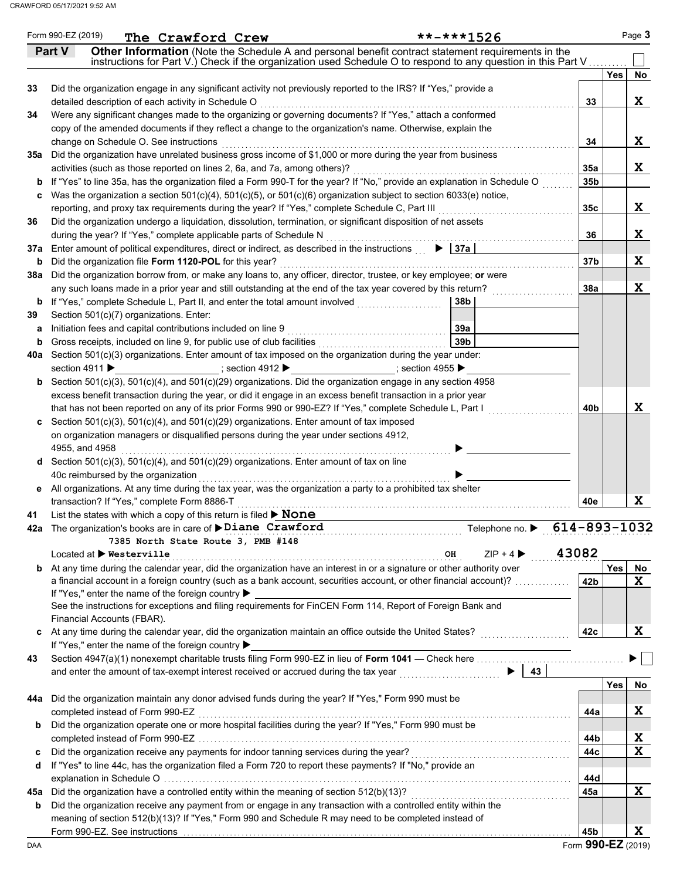|     | Form 990-EZ (2019)<br>**-***1526<br>The Crawford Crew                                                                                                                                                                          |                 | Page 3           |
|-----|--------------------------------------------------------------------------------------------------------------------------------------------------------------------------------------------------------------------------------|-----------------|------------------|
|     | Other Information (Note the Schedule A and personal benefit contract statement requirements in the<br>Part V                                                                                                                   |                 |                  |
|     | instructions for Part V.) Check if the organization used Schedule O to respond to any question in this Part V                                                                                                                  |                 |                  |
|     |                                                                                                                                                                                                                                |                 | <b>Yes</b><br>No |
| 33  | Did the organization engage in any significant activity not previously reported to the IRS? If "Yes," provide a                                                                                                                |                 |                  |
|     | detailed description of each activity in Schedule O                                                                                                                                                                            | 33              | X                |
| 34  | Were any significant changes made to the organizing or governing documents? If "Yes," attach a conformed                                                                                                                       |                 |                  |
|     | copy of the amended documents if they reflect a change to the organization's name. Otherwise, explain the                                                                                                                      |                 |                  |
|     | change on Schedule O. See instructions                                                                                                                                                                                         | 34              | X                |
| 35а | Did the organization have unrelated business gross income of \$1,000 or more during the year from business                                                                                                                     |                 |                  |
|     | activities (such as those reported on lines 2, 6a, and 7a, among others)?                                                                                                                                                      | 35a             | X                |
|     | If "Yes" to line 35a, has the organization filed a Form 990-T for the year? If "No," provide an explanation in Schedule O                                                                                                      | 35b             |                  |
| C   | Was the organization a section $501(c)(4)$ , $501(c)(5)$ , or $501(c)(6)$ organization subject to section 6033(e) notice,                                                                                                      |                 |                  |
|     | reporting, and proxy tax requirements during the year? If "Yes," complete Schedule C, Part III                                                                                                                                 | 35 <sub>c</sub> | X                |
| 36  | Did the organization undergo a liquidation, dissolution, termination, or significant disposition of net assets                                                                                                                 |                 |                  |
|     | during the year? If "Yes," complete applicable parts of Schedule N                                                                                                                                                             | 36              | X                |
|     | 37a Enter amount of political expenditures, direct or indirect, as described in the instructions $\triangleright$ $\vert$ 37a                                                                                                  |                 |                  |
| b   | Did the organization file Form 1120-POL for this year?                                                                                                                                                                         | 37 <sub>b</sub> | X                |
| 38а | Did the organization borrow from, or make any loans to, any officer, director, trustee, or key employee; or were                                                                                                               |                 |                  |
|     | any such loans made in a prior year and still outstanding at the end of the tax year covered by this return?                                                                                                                   | <b>38a</b>      | X                |
|     | <b>b</b> If "Yes," complete Schedule L, Part II, and enter the total amount involved<br>38b                                                                                                                                    |                 |                  |
| 39  | Section 501(c)(7) organizations. Enter:                                                                                                                                                                                        |                 |                  |
| а   | Initiation fees and capital contributions included on line 9<br>39a<br>39 <sub>b</sub>                                                                                                                                         |                 |                  |
|     | 40a Section 501(c)(3) organizations. Enter amount of tax imposed on the organization during the year under:                                                                                                                    |                 |                  |
|     | section 4911 $\blacktriangleright$<br>___; section 4912 ▶ ____________________; section 4955 ▶                                                                                                                                 |                 |                  |
|     | <b>b</b> Section 501(c)(3), 501(c)(4), and 501(c)(29) organizations. Did the organization engage in any section 4958                                                                                                           |                 |                  |
|     | excess benefit transaction during the year, or did it engage in an excess benefit transaction in a prior year                                                                                                                  |                 |                  |
|     | that has not been reported on any of its prior Forms 990 or 990-EZ? If "Yes," complete Schedule L, Part I                                                                                                                      | 40b             | X                |
| C   | Section 501(c)(3), 501(c)(4), and 501(c)(29) organizations. Enter amount of tax imposed                                                                                                                                        |                 |                  |
|     | on organization managers or disqualified persons during the year under sections 4912,                                                                                                                                          |                 |                  |
|     | 4955, and 4958                                                                                                                                                                                                                 |                 |                  |
| d   | Section 501(c)(3), 501(c)(4), and 501(c)(29) organizations. Enter amount of tax on line                                                                                                                                        |                 |                  |
|     | 40c reimbursed by the organization                                                                                                                                                                                             |                 |                  |
| е   | All organizations. At any time during the tax year, was the organization a party to a prohibited tax shelter                                                                                                                   |                 |                  |
|     | transaction? If "Yes," complete Form 8886-T                                                                                                                                                                                    | 40e             | X                |
| 41  | List the states with which a copy of this return is filed > None                                                                                                                                                               |                 |                  |
|     | Telephone no. ▶ 614-893-1032<br>42a The organization's books are in care of <i>&gt;Diane Crawford</i>                                                                                                                          |                 |                  |
|     | 7385 North State Route 3, PMB #148                                                                                                                                                                                             |                 |                  |
|     | $ZIP + 4$<br>Located at ▶ Westerville<br>OH                                                                                                                                                                                    | 43082           |                  |
| b   | At any time during the calendar year, did the organization have an interest in or a signature or other authority over                                                                                                          |                 | Yes<br>No        |
|     | a financial account in a foreign country (such as a bank account, securities account, or other financial account)?                                                                                                             | 42b             | X                |
|     | If "Yes," enter the name of the foreign country ▶                                                                                                                                                                              |                 |                  |
|     | See the instructions for exceptions and filing requirements for FinCEN Form 114, Report of Foreign Bank and                                                                                                                    |                 |                  |
|     | Financial Accounts (FBAR).<br>At any time during the calendar year, did the organization maintain an office outside the United States?                                                                                         | 42c             | X                |
| c   | If "Yes," enter the name of the foreign country ▶                                                                                                                                                                              |                 |                  |
| 43  |                                                                                                                                                                                                                                |                 |                  |
|     | 43<br>$\blacktriangleright$ 1<br>and enter the amount of tax-exempt interest received or accrued during the tax year                                                                                                           |                 |                  |
|     |                                                                                                                                                                                                                                |                 | Yes<br><b>No</b> |
| 44a | Did the organization maintain any donor advised funds during the year? If "Yes," Form 990 must be                                                                                                                              |                 |                  |
|     | completed instead of Form 990-EZ                                                                                                                                                                                               | 44a             | Χ                |
| b   | Did the organization operate one or more hospital facilities during the year? If "Yes," Form 990 must be                                                                                                                       |                 |                  |
|     |                                                                                                                                                                                                                                | 44b             | X                |
| c   | Did the organization receive any payments for indoor tanning services during the year?                                                                                                                                         | 44с             | X                |
| d   | If "Yes" to line 44c, has the organization filed a Form 720 to report these payments? If "No," provide an                                                                                                                      |                 |                  |
|     |                                                                                                                                                                                                                                | 44d             |                  |
| 45а | Did the organization have a controlled entity within the meaning of section 512(b)(13)?                                                                                                                                        | 45a             | X                |
| b   | Did the organization receive any payment from or engage in any transaction with a controlled entity within the                                                                                                                 |                 |                  |
|     | meaning of section 512(b)(13)? If "Yes," Form 990 and Schedule R may need to be completed instead of                                                                                                                           |                 |                  |
|     | Form 990-EZ. See instructions (and all and according to the set of the set of the set of the set of the set of the set of the set of the set of the set of the set of the set of the set of the set of the set of the set of t | 45b             | X                |

Form **990-EZ** (2019)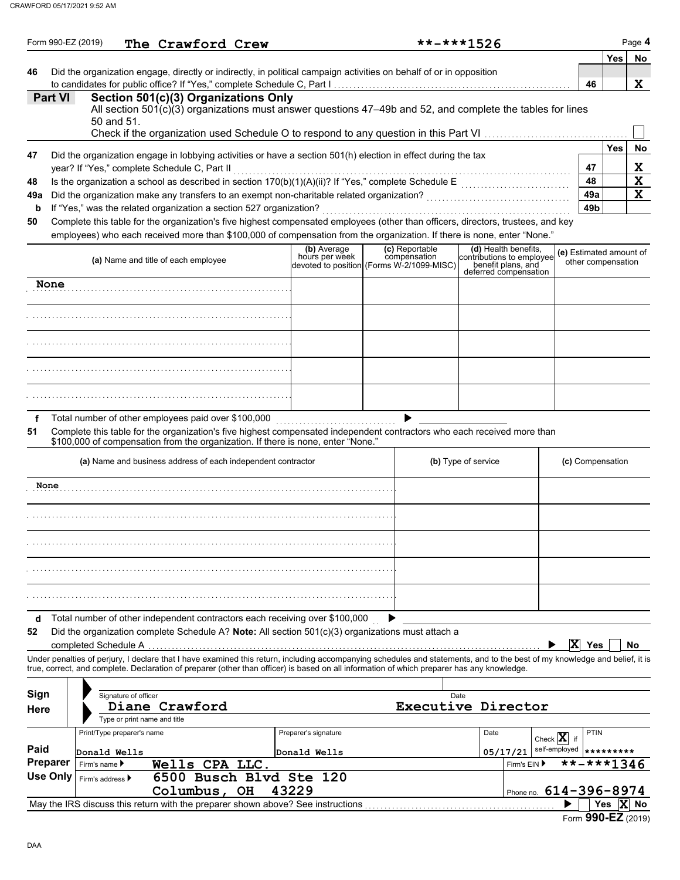|         | Form 990-EZ (2019) |                               |                      | The Crawford Crew                                   |                                                                    |                                                                                                                                                                                                                                                                                                                          |                                | $***1526$ |                     |                                                                                                  |                                             |                                               |            | Page 4      |
|---------|--------------------|-------------------------------|----------------------|-----------------------------------------------------|--------------------------------------------------------------------|--------------------------------------------------------------------------------------------------------------------------------------------------------------------------------------------------------------------------------------------------------------------------------------------------------------------------|--------------------------------|-----------|---------------------|--------------------------------------------------------------------------------------------------|---------------------------------------------|-----------------------------------------------|------------|-------------|
| 46      |                    |                               |                      |                                                     |                                                                    | Did the organization engage, directly or indirectly, in political campaign activities on behalf of or in opposition                                                                                                                                                                                                      |                                |           |                     |                                                                                                  |                                             | 46                                            | Yes        | No          |
|         | <b>Part VI</b>     |                               | 50 and 51.           |                                                     | Section 501(c)(3) Organizations Only                               | All section $501(c)(3)$ organizations must answer questions 47-49b and 52, and complete the tables for lines<br>Check if the organization used Schedule O to respond to any question in this Part VI                                                                                                                     |                                |           |                     |                                                                                                  |                                             |                                               |            | X           |
|         |                    |                               |                      |                                                     |                                                                    |                                                                                                                                                                                                                                                                                                                          |                                |           |                     |                                                                                                  |                                             |                                               | Yes        | No          |
| 47      |                    |                               |                      | year? If "Yes," complete Schedule C, Part II        |                                                                    | Did the organization engage in lobbying activities or have a section 501(h) election in effect during the tax                                                                                                                                                                                                            |                                |           |                     |                                                                                                  |                                             | 47                                            |            | X           |
| 48      |                    |                               |                      |                                                     |                                                                    | Is the organization a school as described in section 170(b)(1)(A)(ii)? If "Yes," complete Schedule E                                                                                                                                                                                                                     |                                |           |                     |                                                                                                  |                                             | 48                                            |            | X           |
| 49a     |                    |                               |                      |                                                     |                                                                    | Did the organization make any transfers to an exempt non-charitable related organization?                                                                                                                                                                                                                                |                                |           |                     |                                                                                                  |                                             | 49a<br>49 <sub>b</sub>                        |            | $\mathbf x$ |
| b<br>50 |                    |                               |                      |                                                     | If "Yes," was the related organization a section 527 organization? | Complete this table for the organization's five highest compensated employees (other than officers, directors, trustees, and key                                                                                                                                                                                         |                                |           |                     |                                                                                                  |                                             |                                               |            |             |
|         |                    |                               |                      |                                                     |                                                                    | employees) who each received more than \$100,000 of compensation from the organization. If there is none, enter "None."                                                                                                                                                                                                  |                                |           |                     |                                                                                                  |                                             |                                               |            |             |
|         |                    |                               |                      | (a) Name and title of each employee                 |                                                                    | (b) Average<br>hours per week<br>devoted to position (Forms W-2/1099-MISC)                                                                                                                                                                                                                                               | (c) Reportable<br>compensation |           |                     | (d) Health benefits,<br>contributions to employee<br>benefit plans, and<br>deferred compensation |                                             | (e) Estimated amount of<br>other compensation |            |             |
|         | None               |                               |                      |                                                     |                                                                    |                                                                                                                                                                                                                                                                                                                          |                                |           |                     |                                                                                                  |                                             |                                               |            |             |
|         |                    |                               |                      |                                                     |                                                                    |                                                                                                                                                                                                                                                                                                                          |                                |           |                     |                                                                                                  |                                             |                                               |            |             |
|         |                    |                               |                      |                                                     |                                                                    |                                                                                                                                                                                                                                                                                                                          |                                |           |                     |                                                                                                  |                                             |                                               |            |             |
|         |                    |                               |                      |                                                     |                                                                    |                                                                                                                                                                                                                                                                                                                          |                                |           |                     |                                                                                                  |                                             |                                               |            |             |
|         |                    |                               |                      |                                                     |                                                                    |                                                                                                                                                                                                                                                                                                                          |                                |           |                     |                                                                                                  |                                             |                                               |            |             |
| f       |                    |                               |                      | Total number of other employees paid over \$100,000 |                                                                    |                                                                                                                                                                                                                                                                                                                          |                                |           |                     |                                                                                                  |                                             |                                               |            |             |
| 51      |                    |                               |                      |                                                     |                                                                    | Complete this table for the organization's five highest compensated independent contractors who each received more than<br>\$100,000 of compensation from the organization. If there is none, enter "None."                                                                                                              |                                |           |                     |                                                                                                  |                                             |                                               |            |             |
|         |                    |                               |                      |                                                     | (a) Name and business address of each independent contractor       |                                                                                                                                                                                                                                                                                                                          |                                |           | (b) Type of service |                                                                                                  |                                             | (c) Compensation                              |            |             |
|         | None               |                               |                      |                                                     |                                                                    |                                                                                                                                                                                                                                                                                                                          |                                |           |                     |                                                                                                  |                                             |                                               |            |             |
|         |                    |                               |                      |                                                     |                                                                    |                                                                                                                                                                                                                                                                                                                          |                                |           |                     |                                                                                                  |                                             |                                               |            |             |
|         |                    |                               |                      |                                                     |                                                                    |                                                                                                                                                                                                                                                                                                                          |                                |           |                     |                                                                                                  |                                             |                                               |            |             |
|         |                    |                               |                      |                                                     |                                                                    |                                                                                                                                                                                                                                                                                                                          |                                |           |                     |                                                                                                  |                                             |                                               |            |             |
|         |                    |                               |                      |                                                     |                                                                    |                                                                                                                                                                                                                                                                                                                          |                                |           |                     |                                                                                                  |                                             |                                               |            |             |
| d       |                    |                               |                      |                                                     |                                                                    | Total number of other independent contractors each receiving over \$100,000                                                                                                                                                                                                                                              |                                |           |                     |                                                                                                  |                                             |                                               |            |             |
| 52      |                    |                               |                      |                                                     |                                                                    | Did the organization complete Schedule A? Note: All section $501(c)(3)$ organizations must attach a                                                                                                                                                                                                                      |                                |           |                     |                                                                                                  | $ \mathbf{x} $                              | Yes                                           |            | No.         |
|         |                    |                               |                      |                                                     |                                                                    | Under penalties of perjury, I declare that I have examined this return, including accompanying schedules and statements, and to the best of my knowledge and belief, it is<br>true, correct, and complete. Declaration of preparer (other than officer) is based on all information of which preparer has any knowledge. |                                |           |                     |                                                                                                  |                                             |                                               |            |             |
|         |                    |                               |                      |                                                     |                                                                    |                                                                                                                                                                                                                                                                                                                          |                                |           |                     |                                                                                                  |                                             |                                               |            |             |
| Sign    |                    |                               | Signature of officer |                                                     |                                                                    |                                                                                                                                                                                                                                                                                                                          |                                | Date      |                     |                                                                                                  |                                             |                                               |            |             |
| Here    |                    |                               |                      | Diane Crawford<br>Type or print name and title      |                                                                    |                                                                                                                                                                                                                                                                                                                          |                                |           |                     | Executive Director                                                                               |                                             |                                               |            |             |
|         |                    | Print/Type preparer's name    |                      |                                                     |                                                                    | Preparer's signature                                                                                                                                                                                                                                                                                                     |                                |           | Date                |                                                                                                  |                                             | <b>PTIN</b>                                   |            |             |
| Paid    |                    |                               |                      |                                                     |                                                                    |                                                                                                                                                                                                                                                                                                                          |                                |           |                     |                                                                                                  | Check $ \mathbf{X} $<br>if<br>self-employed | *********                                     |            |             |
|         | <b>Preparer</b>    | Donald Wells<br>Firm's name ▶ |                      | Wells CPA LLC.                                      |                                                                    | Donald Wells                                                                                                                                                                                                                                                                                                             |                                |           |                     | 05/17/21<br>Firm's EIN ▶                                                                         |                                             | **-***1346                                    |            |             |
|         | <b>Use Only</b>    | Firm's address ▶              |                      |                                                     | 6500 Busch Blvd Ste 120                                            |                                                                                                                                                                                                                                                                                                                          |                                |           |                     |                                                                                                  |                                             |                                               |            |             |
|         |                    |                               |                      | Columbus, OH                                        |                                                                    | 43229                                                                                                                                                                                                                                                                                                                    |                                |           |                     | Phone no. 614-396-8974                                                                           |                                             |                                               |            |             |
|         |                    |                               |                      |                                                     |                                                                    | May the IRS discuss this return with the preparer shown above? See instructions                                                                                                                                                                                                                                          |                                |           |                     |                                                                                                  |                                             |                                               | Yes  X  No |             |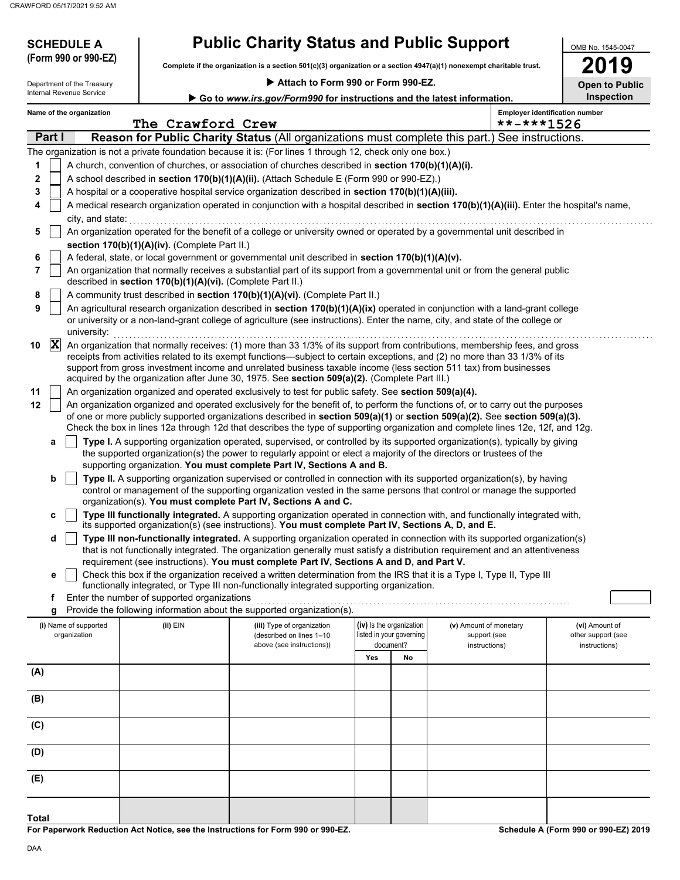**SCHEDULE A** 

| <b>Public Charity Status and Public Support</b> |  |  |  |
|-------------------------------------------------|--|--|--|
|-------------------------------------------------|--|--|--|

**Complete if the organization is a section 501(c)(3) organization or a section 4947(a)(1) nonexempt charitable trust. (Form 990 or 990-EZ)**

 **Attach to Form 990 or Form 990-EZ.**

| ī      |                     |  |
|--------|---------------------|--|
| ×<br>ı | ń<br><b>CONTROL</b> |  |

OMB No. 1545-0047

| Department of the Treasury |                |                                       |                                                            | Attach to Form 990 or Form 990-EZ.<br><b>Open to Public</b>                                                                                                                                                                                                                                                                                                                                                                                                                      |                                                                                      |                                                                   |                                                         |                                                       |  |  |
|----------------------------|----------------|---------------------------------------|------------------------------------------------------------|----------------------------------------------------------------------------------------------------------------------------------------------------------------------------------------------------------------------------------------------------------------------------------------------------------------------------------------------------------------------------------------------------------------------------------------------------------------------------------|--------------------------------------------------------------------------------------|-------------------------------------------------------------------|---------------------------------------------------------|-------------------------------------------------------|--|--|
|                            |                | Internal Revenue Service              |                                                            |                                                                                                                                                                                                                                                                                                                                                                                                                                                                                  | Inspection<br>Go to www.irs.gov/Form990 for instructions and the latest information. |                                                                   |                                                         |                                                       |  |  |
|                            |                | Name of the organization              | The Crawford Crew                                          |                                                                                                                                                                                                                                                                                                                                                                                                                                                                                  |                                                                                      |                                                                   | **-***1526                                              | <b>Employer identification number</b>                 |  |  |
|                            | Part I         |                                       |                                                            | <b>Reason for Public Charity Status (All organizations must complete this part.) See instructions.</b>                                                                                                                                                                                                                                                                                                                                                                           |                                                                                      |                                                                   |                                                         |                                                       |  |  |
|                            |                |                                       |                                                            | The organization is not a private foundation because it is: (For lines 1 through 12, check only one box.)                                                                                                                                                                                                                                                                                                                                                                        |                                                                                      |                                                                   |                                                         |                                                       |  |  |
| 1                          |                |                                       |                                                            | A church, convention of churches, or association of churches described in section 170(b)(1)(A)(i).                                                                                                                                                                                                                                                                                                                                                                               |                                                                                      |                                                                   |                                                         |                                                       |  |  |
| 2                          |                |                                       |                                                            | A school described in section 170(b)(1)(A)(ii). (Attach Schedule E (Form 990 or 990-EZ).)                                                                                                                                                                                                                                                                                                                                                                                        |                                                                                      |                                                                   |                                                         |                                                       |  |  |
| 3                          |                |                                       |                                                            | A hospital or a cooperative hospital service organization described in section 170(b)(1)(A)(iii).                                                                                                                                                                                                                                                                                                                                                                                |                                                                                      |                                                                   |                                                         |                                                       |  |  |
| 4                          |                | city, and state:                      |                                                            | A medical research organization operated in conjunction with a hospital described in section 170(b)(1)(A)(iii). Enter the hospital's name,                                                                                                                                                                                                                                                                                                                                       |                                                                                      |                                                                   |                                                         |                                                       |  |  |
| 5                          |                |                                       |                                                            | An organization operated for the benefit of a college or university owned or operated by a governmental unit described in                                                                                                                                                                                                                                                                                                                                                        |                                                                                      |                                                                   |                                                         |                                                       |  |  |
|                            |                |                                       | section 170(b)(1)(A)(iv). (Complete Part II.)              |                                                                                                                                                                                                                                                                                                                                                                                                                                                                                  |                                                                                      |                                                                   |                                                         |                                                       |  |  |
| 6                          |                |                                       |                                                            | A federal, state, or local government or governmental unit described in section 170(b)(1)(A)(v).                                                                                                                                                                                                                                                                                                                                                                                 |                                                                                      |                                                                   |                                                         |                                                       |  |  |
| 7                          |                |                                       | described in section 170(b)(1)(A)(vi). (Complete Part II.) | An organization that normally receives a substantial part of its support from a governmental unit or from the general public                                                                                                                                                                                                                                                                                                                                                     |                                                                                      |                                                                   |                                                         |                                                       |  |  |
| 8                          |                |                                       |                                                            | A community trust described in section 170(b)(1)(A)(vi). (Complete Part II.)                                                                                                                                                                                                                                                                                                                                                                                                     |                                                                                      |                                                                   |                                                         |                                                       |  |  |
| 9                          |                | university:                           |                                                            | An agricultural research organization described in section 170(b)(1)(A)(ix) operated in conjunction with a land-grant college<br>or university or a non-land-grant college of agriculture (see instructions). Enter the name, city, and state of the college or                                                                                                                                                                                                                  |                                                                                      |                                                                   |                                                         |                                                       |  |  |
| 10                         | $ \mathbf{X} $ |                                       |                                                            | An organization that normally receives: (1) more than 33 1/3% of its support from contributions, membership fees, and gross<br>receipts from activities related to its exempt functions—subject to certain exceptions, and (2) no more than 33 1/3% of its<br>support from gross investment income and unrelated business taxable income (less section 511 tax) from businesses<br>acquired by the organization after June 30, 1975. See section 509(a)(2). (Complete Part III.) |                                                                                      |                                                                   |                                                         |                                                       |  |  |
| 11                         |                |                                       |                                                            | An organization organized and operated exclusively to test for public safety. See section 509(a)(4).                                                                                                                                                                                                                                                                                                                                                                             |                                                                                      |                                                                   |                                                         |                                                       |  |  |
| 12                         |                |                                       |                                                            | An organization organized and operated exclusively for the benefit of, to perform the functions of, or to carry out the purposes<br>of one or more publicly supported organizations described in section 509(a)(1) or section 509(a)(2). See section 509(a)(3).<br>Check the box in lines 12a through 12d that describes the type of supporting organization and complete lines 12e, 12f, and 12g.                                                                               |                                                                                      |                                                                   |                                                         |                                                       |  |  |
|                            | а<br>b         |                                       |                                                            | Type I. A supporting organization operated, supervised, or controlled by its supported organization(s), typically by giving<br>the supported organization(s) the power to regularly appoint or elect a majority of the directors or trustees of the<br>supporting organization. You must complete Part IV, Sections A and B.<br>Type II. A supporting organization supervised or controlled in connection with its supported organization(s), by having                          |                                                                                      |                                                                   |                                                         |                                                       |  |  |
|                            |                |                                       |                                                            | control or management of the supporting organization vested in the same persons that control or manage the supported<br>organization(s). You must complete Part IV, Sections A and C.                                                                                                                                                                                                                                                                                            |                                                                                      |                                                                   |                                                         |                                                       |  |  |
|                            | c              |                                       |                                                            | Type III functionally integrated. A supporting organization operated in connection with, and functionally integrated with,<br>its supported organization(s) (see instructions). You must complete Part IV, Sections A, D, and E.                                                                                                                                                                                                                                                 |                                                                                      |                                                                   |                                                         |                                                       |  |  |
|                            | d              |                                       |                                                            | Type III non-functionally integrated. A supporting organization operated in connection with its supported organization(s)<br>that is not functionally integrated. The organization generally must satisfy a distribution requirement and an attentiveness                                                                                                                                                                                                                        |                                                                                      |                                                                   |                                                         |                                                       |  |  |
|                            |                |                                       |                                                            | requirement (see instructions). You must complete Part IV, Sections A and D, and Part V.<br>Check this box if the organization received a written determination from the IRS that it is a Type I, Type II, Type III                                                                                                                                                                                                                                                              |                                                                                      |                                                                   |                                                         |                                                       |  |  |
|                            |                |                                       |                                                            | functionally integrated, or Type III non-functionally integrated supporting organization.                                                                                                                                                                                                                                                                                                                                                                                        |                                                                                      |                                                                   |                                                         |                                                       |  |  |
|                            | f              |                                       | Enter the number of supported organizations                |                                                                                                                                                                                                                                                                                                                                                                                                                                                                                  |                                                                                      |                                                                   |                                                         |                                                       |  |  |
|                            | g              |                                       |                                                            | Provide the following information about the supported organization(s).                                                                                                                                                                                                                                                                                                                                                                                                           |                                                                                      |                                                                   |                                                         |                                                       |  |  |
|                            |                | (i) Name of supported<br>organization | (ii) EIN                                                   | (iii) Type of organization<br>(described on lines 1-10<br>above (see instructions))                                                                                                                                                                                                                                                                                                                                                                                              |                                                                                      | (iv) Is the organization<br>listed in your governing<br>document? | (v) Amount of monetary<br>support (see<br>instructions) | (vi) Amount of<br>other support (see<br>instructions) |  |  |
|                            |                |                                       |                                                            |                                                                                                                                                                                                                                                                                                                                                                                                                                                                                  | Yes                                                                                  | No                                                                |                                                         |                                                       |  |  |
| (A)                        |                |                                       |                                                            |                                                                                                                                                                                                                                                                                                                                                                                                                                                                                  |                                                                                      |                                                                   |                                                         |                                                       |  |  |
| (B)                        |                |                                       |                                                            |                                                                                                                                                                                                                                                                                                                                                                                                                                                                                  |                                                                                      |                                                                   |                                                         |                                                       |  |  |
| (C)                        |                |                                       |                                                            |                                                                                                                                                                                                                                                                                                                                                                                                                                                                                  |                                                                                      |                                                                   |                                                         |                                                       |  |  |
| (D)                        |                |                                       |                                                            |                                                                                                                                                                                                                                                                                                                                                                                                                                                                                  |                                                                                      |                                                                   |                                                         |                                                       |  |  |
| (E)                        |                |                                       |                                                            |                                                                                                                                                                                                                                                                                                                                                                                                                                                                                  |                                                                                      |                                                                   |                                                         |                                                       |  |  |

**For Paperwork Reduction Act Notice, see the Instructions for Form 990 or 990-EZ.**

**Schedule A (Form 990 or 990-EZ) 2019**

**Total**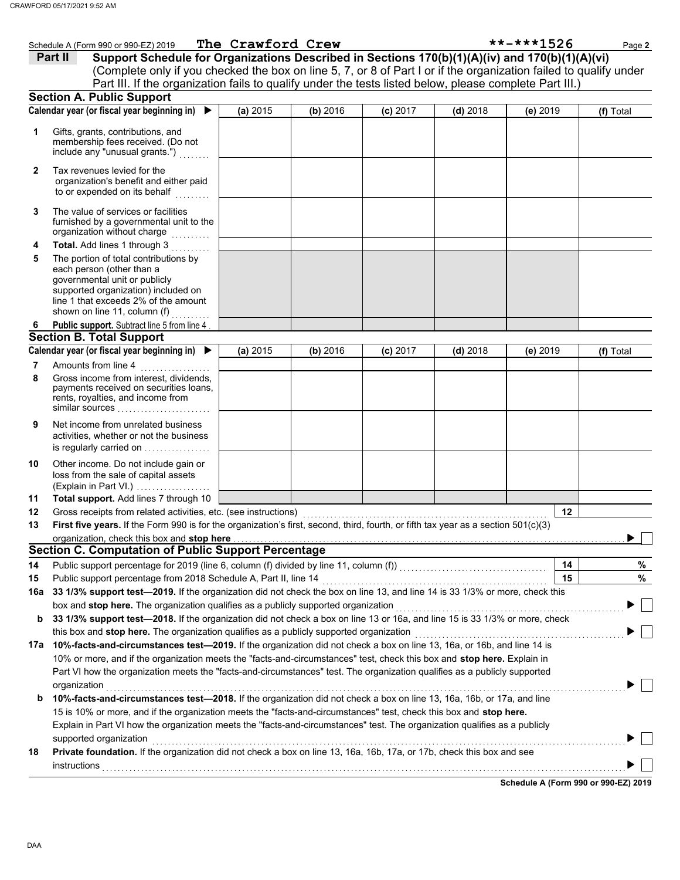|     | Schedule A (Form 990 or 990-EZ) 2019                                                                                                                                                                                                                 | The Crawford Crew |          |            |            | **-***1526 | Page 2    |
|-----|------------------------------------------------------------------------------------------------------------------------------------------------------------------------------------------------------------------------------------------------------|-------------------|----------|------------|------------|------------|-----------|
|     | Support Schedule for Organizations Described in Sections 170(b)(1)(A)(iv) and 170(b)(1)(A)(vi)<br>Part II                                                                                                                                            |                   |          |            |            |            |           |
|     | (Complete only if you checked the box on line 5, 7, or 8 of Part I or if the organization failed to qualify under                                                                                                                                    |                   |          |            |            |            |           |
|     | Part III. If the organization fails to qualify under the tests listed below, please complete Part III.)                                                                                                                                              |                   |          |            |            |            |           |
|     | <b>Section A. Public Support</b>                                                                                                                                                                                                                     |                   |          |            |            |            |           |
|     | Calendar year (or fiscal year beginning in) $\blacktriangleright$                                                                                                                                                                                    | (a) 2015          | (b) 2016 | $(c)$ 2017 | $(d)$ 2018 | $(e)$ 2019 | (f) Total |
| 1   | Gifts, grants, contributions, and<br>membership fees received. (Do not<br>include any "unusual grants.")                                                                                                                                             |                   |          |            |            |            |           |
| 2   | Tax revenues levied for the<br>organization's benefit and either paid<br>to or expended on its behalf                                                                                                                                                |                   |          |            |            |            |           |
| 3   | The value of services or facilities<br>furnished by a governmental unit to the<br>organization without charge                                                                                                                                        |                   |          |            |            |            |           |
| 4   | Total. Add lines 1 through 3                                                                                                                                                                                                                         |                   |          |            |            |            |           |
| 5   | The portion of total contributions by<br>each person (other than a<br>governmental unit or publicly<br>supported organization) included on<br>line 1 that exceeds 2% of the amount<br>shown on line 11, column (f)                                   |                   |          |            |            |            |           |
| 6   | Public support. Subtract line 5 from line 4                                                                                                                                                                                                          |                   |          |            |            |            |           |
|     | <b>Section B. Total Support</b>                                                                                                                                                                                                                      |                   |          |            |            |            |           |
|     | Calendar year (or fiscal year beginning in) ▶                                                                                                                                                                                                        | (a) 2015          | (b) 2016 | $(c)$ 2017 | $(d)$ 2018 | (e) 2019   | (f) Total |
| 7   | Amounts from line 4                                                                                                                                                                                                                                  |                   |          |            |            |            |           |
| 8   | Gross income from interest, dividends,<br>payments received on securities loans,<br>rents, royalties, and income from<br>similar sources                                                                                                             |                   |          |            |            |            |           |
| 9   | Net income from unrelated business<br>activities, whether or not the business<br>is regularly carried on                                                                                                                                             |                   |          |            |            |            |           |
| 10  | Other income. Do not include gain or<br>loss from the sale of capital assets<br>(Explain in Part VI.)                                                                                                                                                |                   |          |            |            |            |           |
| 11  | Total support. Add lines 7 through 10                                                                                                                                                                                                                |                   |          |            |            |            |           |
| 12  | Gross receipts from related activities, etc. (see instructions)                                                                                                                                                                                      |                   |          |            |            | 12         |           |
| 13  | First five years. If the Form 990 is for the organization's first, second, third, fourth, or fifth tax year as a section 501(c)(3)                                                                                                                   |                   |          |            |            |            |           |
|     | organization, check this box and stop here                                                                                                                                                                                                           |                   |          |            |            |            |           |
|     | <b>Section C. Computation of Public Support Percentage</b>                                                                                                                                                                                           |                   |          |            |            |            |           |
| 14  | Public support percentage for 2019 (line 6, column (f) divided by line 11, column (f)) [[[[[[[[[[[[[[[[[[[[[[                                                                                                                                        |                   |          |            |            | 14         | %         |
| 15  | Public support percentage from 2018 Schedule A, Part II, line 14                                                                                                                                                                                     |                   |          |            |            | 15         | %         |
| 16a | 33 1/3% support test-2019. If the organization did not check the box on line 13, and line 14 is 33 1/3% or more, check this                                                                                                                          |                   |          |            |            |            |           |
|     | box and stop here. The organization qualifies as a publicly supported organization                                                                                                                                                                   |                   |          |            |            |            |           |
| b   | 33 1/3% support test-2018. If the organization did not check a box on line 13 or 16a, and line 15 is 33 1/3% or more, check                                                                                                                          |                   |          |            |            |            |           |
|     | this box and stop here. The organization qualifies as a publicly supported organization                                                                                                                                                              |                   |          |            |            |            |           |
|     | 17a 10%-facts-and-circumstances test-2019. If the organization did not check a box on line 13, 16a, or 16b, and line 14 is                                                                                                                           |                   |          |            |            |            |           |
|     | 10% or more, and if the organization meets the "facts-and-circumstances" test, check this box and stop here. Explain in<br>Part VI how the organization meets the "facts-and-circumstances" test. The organization qualifies as a publicly supported |                   |          |            |            |            |           |
|     | organization                                                                                                                                                                                                                                         |                   |          |            |            |            |           |
| b   | 10%-facts-and-circumstances test-2018. If the organization did not check a box on line 13, 16a, 16b, or 17a, and line                                                                                                                                |                   |          |            |            |            |           |
|     | 15 is 10% or more, and if the organization meets the "facts-and-circumstances" test, check this box and stop here.                                                                                                                                   |                   |          |            |            |            |           |
|     | Explain in Part VI how the organization meets the "facts-and-circumstances" test. The organization qualifies as a publicly                                                                                                                           |                   |          |            |            |            |           |
|     | supported organization<br>Private foundation. If the organization did not check a box on line 13, 16a, 16b, 17a, or 17b, check this box and see                                                                                                      |                   |          |            |            |            |           |
| 18  | instructions                                                                                                                                                                                                                                         |                   |          |            |            |            |           |
|     |                                                                                                                                                                                                                                                      |                   |          |            |            |            |           |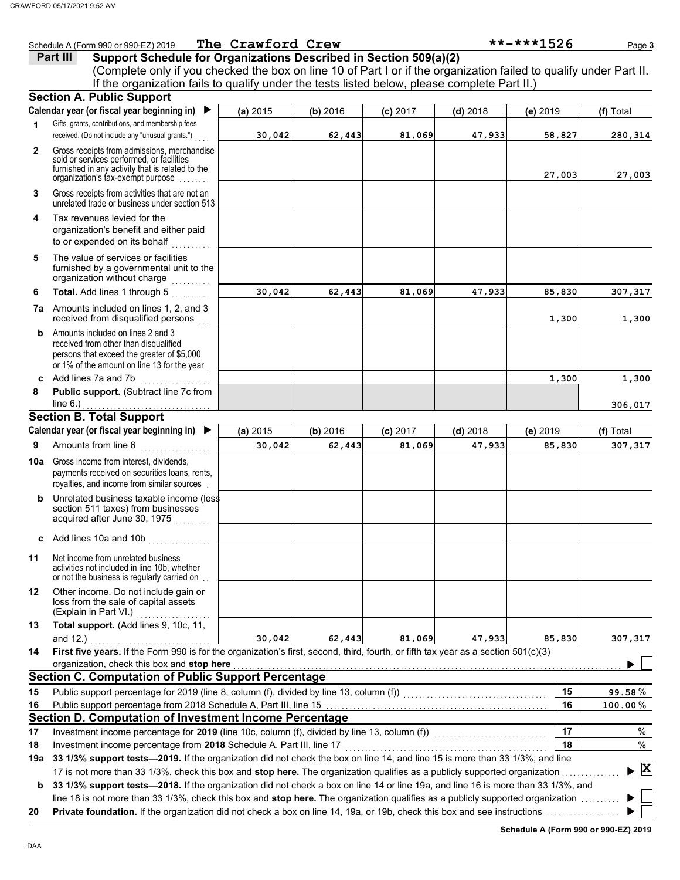|                | Schedule A (Form 990 or 990-EZ) 2019                                                                                                                                               | The Crawford Crew |          |            |            | **-***1526 | Page 3                             |
|----------------|------------------------------------------------------------------------------------------------------------------------------------------------------------------------------------|-------------------|----------|------------|------------|------------|------------------------------------|
|                | Support Schedule for Organizations Described in Section 509(a)(2)<br>Part III                                                                                                      |                   |          |            |            |            |                                    |
|                | (Complete only if you checked the box on line 10 of Part I or if the organization failed to qualify under Part II.                                                                 |                   |          |            |            |            |                                    |
|                | If the organization fails to qualify under the tests listed below, please complete Part II.)                                                                                       |                   |          |            |            |            |                                    |
|                | <b>Section A. Public Support</b>                                                                                                                                                   |                   |          |            |            |            |                                    |
|                | Calendar year (or fiscal year beginning in)<br>$\blacktriangleright$                                                                                                               | (a) 2015          | (b) 2016 | $(c)$ 2017 | $(d)$ 2018 | (e) 2019   | (f) Total                          |
| $\mathbf{1}$   | Gifts, grants, contributions, and membership fees<br>received. (Do not include any "unusual grants.")                                                                              | 30,042            | 62,443   | 81,069     | 47,933     | 58,827     | 280,314                            |
| $\overline{2}$ | Gross receipts from admissions, merchandise<br>sold or services performed, or facilities<br>furnished in any activity that is related to the<br>organization's tax-exempt purpose  |                   |          |            |            | 27,003     | 27,003                             |
| 3              | Gross receipts from activities that are not an<br>unrelated trade or business under section 513                                                                                    |                   |          |            |            |            |                                    |
| 4              | Tax revenues levied for the<br>organization's benefit and either paid<br>to or expended on its behalf<br>.                                                                         |                   |          |            |            |            |                                    |
| 5              | The value of services or facilities<br>furnished by a governmental unit to the<br>organization without charge                                                                      |                   |          |            |            |            |                                    |
| 6              | Total. Add lines 1 through 5                                                                                                                                                       | 30.042            | 62,443   | 81,069     | 47,933     | 85,830     | 307,317                            |
|                | 7a Amounts included on lines 1, 2, and 3<br>received from disqualified persons                                                                                                     |                   |          |            |            | 1,300      | 1,300                              |
| b              | Amounts included on lines 2 and 3<br>received from other than disqualified<br>persons that exceed the greater of \$5,000<br>or 1% of the amount on line 13 for the year            |                   |          |            |            |            |                                    |
|                | c Add lines 7a and 7b                                                                                                                                                              |                   |          |            |            | 1,300      | 1,300                              |
| 8              | Public support. (Subtract line 7c from<br>line $6.$ )                                                                                                                              |                   |          |            |            |            | 306,017                            |
|                | <b>Section B. Total Support</b>                                                                                                                                                    |                   |          |            |            |            |                                    |
|                | Calendar year (or fiscal year beginning in) $\blacktriangleright$                                                                                                                  | (a) 2015          | (b) 2016 | $(c)$ 2017 | $(d)$ 2018 | (e) 2019   | (f) Total                          |
| 9              | Amounts from line 6                                                                                                                                                                | 30,042            | 62,443   | 81,069     | 47,933     | 85,830     | 307,317                            |
| 10a            | Gross income from interest, dividends,<br>payments received on securities loans, rents,<br>royalties, and income from similar sources                                              |                   |          |            |            |            |                                    |
| b              | Unrelated business taxable income (less<br>section 511 taxes) from businesses<br>acquired after June 30, 1975<br><u>.</u>                                                          |                   |          |            |            |            |                                    |
|                | c Add lines 10a and 10b<br>.                                                                                                                                                       |                   |          |            |            |            |                                    |
| 11             | Net income from unrelated business<br>activities not included in line 10b, whether<br>or not the business is regularly carried on.                                                 |                   |          |            |            |            |                                    |
| 12             | Other income. Do not include gain or<br>loss from the sale of capital assets<br>(Explain in Part VI.)                                                                              |                   |          |            |            |            |                                    |
| 13             | Total support. (Add lines 9, 10c, 11,<br>and $12.$ )                                                                                                                               | 30,042            | 62,443   | 81,069     | 47,933     | 85,830     | 307,317                            |
| 14             | First five years. If the Form 990 is for the organization's first, second, third, fourth, or fifth tax year as a section $501(c)(3)$<br>organization, check this box and stop here |                   |          |            |            |            |                                    |
|                | <b>Section C. Computation of Public Support Percentage</b>                                                                                                                         |                   |          |            |            |            |                                    |
| 15             | Public support percentage for 2019 (line 8, column (f), divided by line 13, column (f)) [[[[[[[[[[[[[[[[[[[[[                                                                      |                   |          |            |            | 15         | 99.58%                             |
| 16             |                                                                                                                                                                                    |                   |          |            |            | 16         | $100.00\,\%$                       |
|                | Section D. Computation of Investment Income Percentage                                                                                                                             |                   |          |            |            |            |                                    |
| 17             | Investment income percentage for 2019 (line 10c, column (f), divided by line 13, column (f)) [[[[[[[[[[[[[[[[                                                                      |                   |          |            |            | 17         | $\%$                               |
| 18             | Investment income percentage from 2018 Schedule A, Part III, line 17                                                                                                               |                   |          |            |            | 18         | %                                  |
|                | 19a 33 1/3% support tests-2019. If the organization did not check the box on line 14, and line 15 is more than 33 1/3%, and line                                                   |                   |          |            |            |            |                                    |
|                | 17 is not more than 33 1/3%, check this box and stop here. The organization qualifies as a publicly supported organization                                                         |                   |          |            |            |            | $\blacktriangleright$ $\mathbf{X}$ |
| b              | 33 1/3% support tests-2018. If the organization did not check a box on line 14 or line 19a, and line 16 is more than 33 1/3%, and                                                  |                   |          |            |            |            |                                    |
|                | line 18 is not more than 33 1/3%, check this box and stop here. The organization qualifies as a publicly supported organization                                                    |                   |          |            |            |            |                                    |
| 20             |                                                                                                                                                                                    |                   |          |            |            |            |                                    |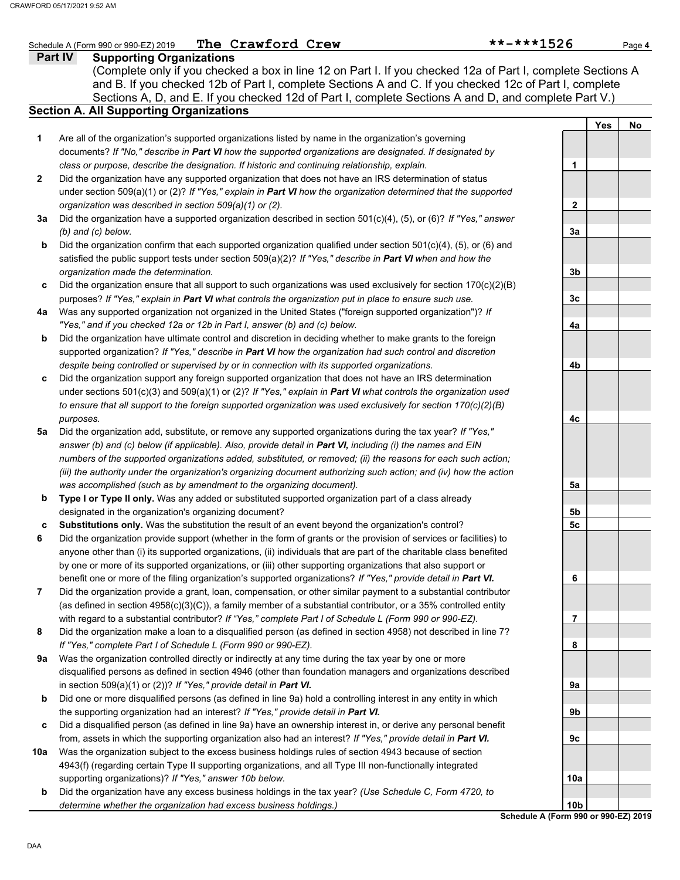## **Part IV Supporting Organizations** Sections A, D, and E. If you checked 12d of Part I, complete Sections A and D, and complete Part V.) Schedule A (Form 990 or 990-EZ) 2019 **The Crawford Crew** \*\*\*\*\*1526 Page 4 **Section A. All Supporting Organizations** (Complete only if you checked a box in line 12 on Part I. If you checked 12a of Part I, complete Sections A and B. If you checked 12b of Part I, complete Sections A and C. If you checked 12c of Part I, complete Are all of the organization's supported organizations listed by name in the organization's governing documents? *If "No," describe in Part VI how the supported organizations are designated. If designated by class or purpose, describe the designation. If historic and continuing relationship, explain.* Did the organization have any supported organization that does not have an IRS determination of status under section 509(a)(1) or (2)? *If "Yes," explain in Part VI how the organization determined that the supported organization was described in section 509(a)(1) or (2).* **1 2 3a** Did the organization have a supported organization described in section 501(c)(4), (5), or (6)? *If "Yes," answer* **b c** Did the organization ensure that all support to such organizations was used exclusively for section 170(c)(2)(B) **4a** Was any supported organization not organized in the United States ("foreign supported organization")? *If* **b c** Did the organization support any foreign supported organization that does not have an IRS determination **5a** Did the organization add, substitute, or remove any supported organizations during the tax year? *If "Yes,"* **b c 6 7 8 9a b c** Did a disqualified person (as defined in line 9a) have an ownership interest in, or derive any personal benefit **10a b** *(b) and (c) below.* Did the organization confirm that each supported organization qualified under section 501(c)(4), (5), or (6) and satisfied the public support tests under section 509(a)(2)? *If "Yes," describe in Part VI when and how the organization made the determination.* purposes? *If "Yes," explain in Part VI what controls the organization put in place to ensure such use. "Yes," and if you checked 12a or 12b in Part I, answer (b) and (c) below.* Did the organization have ultimate control and discretion in deciding whether to make grants to the foreign supported organization? *If "Yes," describe in Part VI how the organization had such control and discretion despite being controlled or supervised by or in connection with its supported organizations.* under sections 501(c)(3) and 509(a)(1) or (2)? *If "Yes," explain in Part VI what controls the organization used to ensure that all support to the foreign supported organization was used exclusively for section 170(c)(2)(B) purposes. answer (b) and (c) below (if applicable). Also, provide detail in Part VI, including (i) the names and EIN numbers of the supported organizations added, substituted, or removed; (ii) the reasons for each such action; (iii) the authority under the organization's organizing document authorizing such action; and (iv) how the action was accomplished (such as by amendment to the organizing document).* **Type I or Type II only.** Was any added or substituted supported organization part of a class already designated in the organization's organizing document? **Substitutions only.** Was the substitution the result of an event beyond the organization's control? Did the organization provide support (whether in the form of grants or the provision of services or facilities) to anyone other than (i) its supported organizations, (ii) individuals that are part of the charitable class benefited by one or more of its supported organizations, or (iii) other supporting organizations that also support or benefit one or more of the filing organization's supported organizations? *If "Yes," provide detail in Part VI.* Did the organization provide a grant, loan, compensation, or other similar payment to a substantial contributor (as defined in section 4958(c)(3)(C)), a family member of a substantial contributor, or a 35% controlled entity with regard to a substantial contributor? *If "Yes," complete Part I of Schedule L (Form 990 or 990-EZ).* Did the organization make a loan to a disqualified person (as defined in section 4958) not described in line 7? *If "Yes," complete Part I of Schedule L (Form 990 or 990-EZ).* Was the organization controlled directly or indirectly at any time during the tax year by one or more disqualified persons as defined in section 4946 (other than foundation managers and organizations described in section 509(a)(1) or (2))? *If "Yes," provide detail in Part VI.* Did one or more disqualified persons (as defined in line 9a) hold a controlling interest in any entity in which the supporting organization had an interest? *If "Yes," provide detail in Part VI.* from, assets in which the supporting organization also had an interest? *If "Yes," provide detail in Part VI.* Was the organization subject to the excess business holdings rules of section 4943 because of section 4943(f) (regarding certain Type II supporting organizations, and all Type III non-functionally integrated supporting organizations)? *If "Yes," answer 10b below.* Did the organization have any excess business holdings in the tax year? *(Use Schedule C, Form 4720, to determine whether the organization had excess business holdings.)* **Yes No 1 2 3a 3b 3c 4a 4b 4c 5a 5b 5c 6 7 8 9a 9b 9c 10a 10b** The Crawford Crew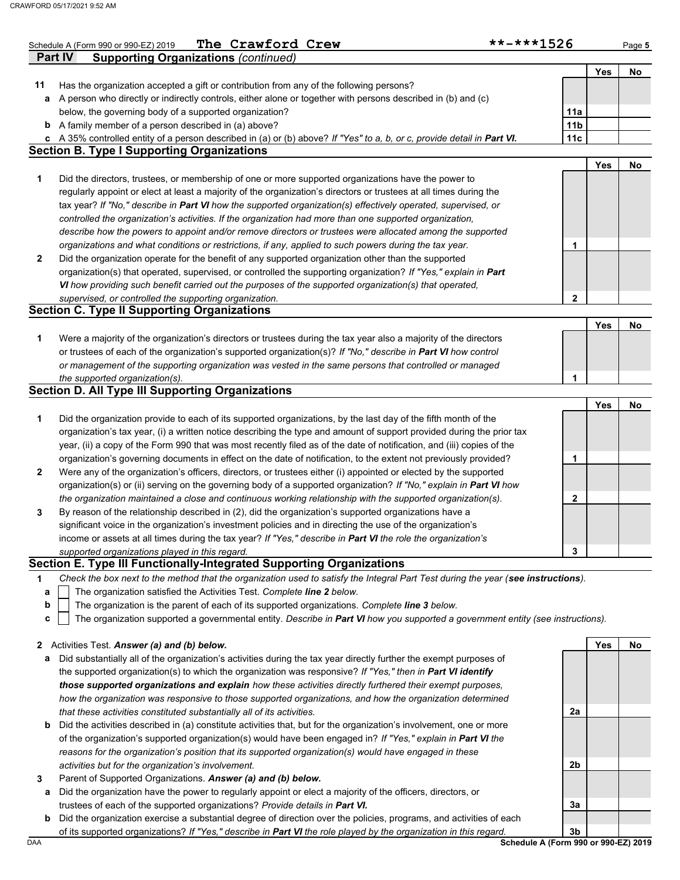|                   | The Crawford Crew<br>Schedule A (Form 990 or 990-EZ) 2019                                                                                                                                                                              | **-***1526             |     | Page 5    |
|-------------------|----------------------------------------------------------------------------------------------------------------------------------------------------------------------------------------------------------------------------------------|------------------------|-----|-----------|
|                   | <b>Supporting Organizations (continued)</b><br><b>Part IV</b>                                                                                                                                                                          |                        |     |           |
|                   |                                                                                                                                                                                                                                        |                        | Yes | No        |
| 11                | Has the organization accepted a gift or contribution from any of the following persons?                                                                                                                                                |                        |     |           |
| a                 | A person who directly or indirectly controls, either alone or together with persons described in (b) and (c)                                                                                                                           |                        |     |           |
| b                 | below, the governing body of a supported organization?<br>A family member of a person described in (a) above?                                                                                                                          | 11a<br>11 <sub>b</sub> |     |           |
| c                 | A 35% controlled entity of a person described in (a) or (b) above? If "Yes" to a, b, or c, provide detail in Part VI.                                                                                                                  | 11c                    |     |           |
|                   | <b>Section B. Type I Supporting Organizations</b>                                                                                                                                                                                      |                        |     |           |
|                   |                                                                                                                                                                                                                                        |                        | Yes | No        |
| 1                 | Did the directors, trustees, or membership of one or more supported organizations have the power to                                                                                                                                    |                        |     |           |
|                   | regularly appoint or elect at least a majority of the organization's directors or trustees at all times during the                                                                                                                     |                        |     |           |
|                   | tax year? If "No," describe in Part VI how the supported organization(s) effectively operated, supervised, or                                                                                                                          |                        |     |           |
|                   | controlled the organization's activities. If the organization had more than one supported organization,                                                                                                                                |                        |     |           |
|                   | describe how the powers to appoint and/or remove directors or trustees were allocated among the supported                                                                                                                              |                        |     |           |
|                   | organizations and what conditions or restrictions, if any, applied to such powers during the tax year.                                                                                                                                 | 1                      |     |           |
| 2                 | Did the organization operate for the benefit of any supported organization other than the supported                                                                                                                                    |                        |     |           |
|                   | organization(s) that operated, supervised, or controlled the supporting organization? If "Yes," explain in Part                                                                                                                        |                        |     |           |
|                   | VI how providing such benefit carried out the purposes of the supported organization(s) that operated,<br>supervised, or controlled the supporting organization.                                                                       | $\mathbf{2}$           |     |           |
|                   | <b>Section C. Type II Supporting Organizations</b>                                                                                                                                                                                     |                        |     |           |
|                   |                                                                                                                                                                                                                                        |                        | Yes | <b>No</b> |
| 1                 | Were a majority of the organization's directors or trustees during the tax year also a majority of the directors                                                                                                                       |                        |     |           |
|                   | or trustees of each of the organization's supported organization(s)? If "No," describe in Part VI how control                                                                                                                          |                        |     |           |
|                   | or management of the supporting organization was vested in the same persons that controlled or managed                                                                                                                                 |                        |     |           |
|                   | the supported organization(s).                                                                                                                                                                                                         | 1                      |     |           |
|                   | <b>Section D. All Type III Supporting Organizations</b>                                                                                                                                                                                |                        |     |           |
|                   |                                                                                                                                                                                                                                        |                        | Yes | <b>No</b> |
| 1                 | Did the organization provide to each of its supported organizations, by the last day of the fifth month of the                                                                                                                         |                        |     |           |
|                   | organization's tax year, (i) a written notice describing the type and amount of support provided during the prior tax                                                                                                                  |                        |     |           |
|                   | year, (ii) a copy of the Form 990 that was most recently filed as of the date of notification, and (iii) copies of the                                                                                                                 |                        |     |           |
|                   | organization's governing documents in effect on the date of notification, to the extent not previously provided?                                                                                                                       | 1                      |     |           |
| 2                 | Were any of the organization's officers, directors, or trustees either (i) appointed or elected by the supported<br>organization(s) or (ii) serving on the governing body of a supported organization? If "No," explain in Part VI how |                        |     |           |
|                   | the organization maintained a close and continuous working relationship with the supported organization(s).                                                                                                                            | 2                      |     |           |
| 3                 | By reason of the relationship described in (2), did the organization's supported organizations have a                                                                                                                                  |                        |     |           |
|                   | significant voice in the organization's investment policies and in directing the use of the organization's                                                                                                                             |                        |     |           |
|                   | income or assets at all times during the tax year? If "Yes," describe in Part VI the role the organization's                                                                                                                           |                        |     |           |
|                   | supported organizations played in this regard.                                                                                                                                                                                         | 3                      |     |           |
|                   | Section E. Type III Functionally-Integrated Supporting Organizations                                                                                                                                                                   |                        |     |           |
| 1                 | Check the box next to the method that the organization used to satisfy the Integral Part Test during the year (see instructions).                                                                                                      |                        |     |           |
| a                 | The organization satisfied the Activities Test. Complete line 2 below.                                                                                                                                                                 |                        |     |           |
| b                 | The organization is the parent of each of its supported organizations. Complete line 3 below.                                                                                                                                          |                        |     |           |
| C                 | The organization supported a governmental entity. Describe in Part VI how you supported a government entity (see instructions).                                                                                                        |                        |     |           |
|                   |                                                                                                                                                                                                                                        |                        | Yes | No        |
| $\mathbf{z}$<br>а | Activities Test. Answer (a) and (b) below.<br>Did substantially all of the organization's activities during the tax year directly further the exempt purposes of                                                                       |                        |     |           |
|                   | the supported organization(s) to which the organization was responsive? If "Yes," then in Part VI identify                                                                                                                             |                        |     |           |
|                   | those supported organizations and explain how these activities directly furthered their exempt purposes,                                                                                                                               |                        |     |           |
|                   | how the organization was responsive to those supported organizations, and how the organization determined                                                                                                                              |                        |     |           |
|                   | that these activities constituted substantially all of its activities.                                                                                                                                                                 | 2a                     |     |           |
| b                 | Did the activities described in (a) constitute activities that, but for the organization's involvement, one or more                                                                                                                    |                        |     |           |
|                   | of the organization's supported organization(s) would have been engaged in? If "Yes," explain in Part VI the                                                                                                                           |                        |     |           |
|                   | reasons for the organization's position that its supported organization(s) would have engaged in these                                                                                                                                 |                        |     |           |
|                   | activities but for the organization's involvement.                                                                                                                                                                                     | 2b                     |     |           |
| 3                 | Parent of Supported Organizations. Answer (a) and (b) below.                                                                                                                                                                           |                        |     |           |
| а                 | Did the organization have the power to regularly appoint or elect a majority of the officers, directors, or                                                                                                                            |                        |     |           |
|                   | trustees of each of the supported organizations? Provide details in Part VI.                                                                                                                                                           | 3a                     |     |           |
| b                 | Did the organization exercise a substantial degree of direction over the policies, programs, and activities of each                                                                                                                    |                        |     |           |
|                   | of its supported organizations? If "Yes," describe in Part VI the role played by the organization in this regard.                                                                                                                      | 3 <sub>b</sub>         |     |           |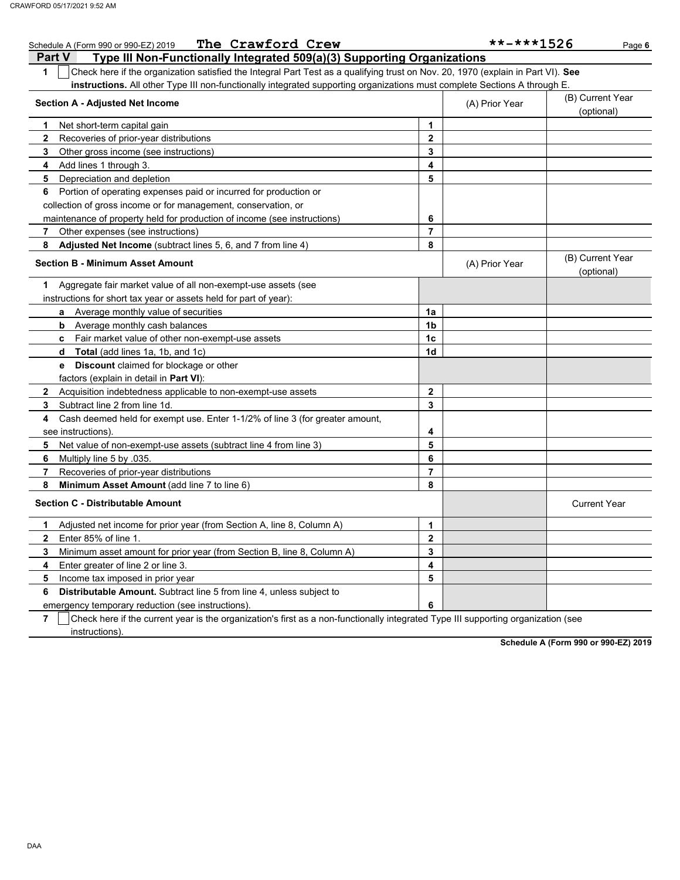| The Crawford Crew<br>Schedule A (Form 990 or 990-EZ) 2019                                                                                        |                | $******1526$   | Page 6                         |
|--------------------------------------------------------------------------------------------------------------------------------------------------|----------------|----------------|--------------------------------|
| Type III Non-Functionally Integrated 509(a)(3) Supporting Organizations<br><b>Part V</b>                                                         |                |                |                                |
| $\mathbf{1}$<br>Check here if the organization satisfied the Integral Part Test as a qualifying trust on Nov. 20, 1970 (explain in Part VI). See |                |                |                                |
| instructions. All other Type III non-functionally integrated supporting organizations must complete Sections A through E                         |                |                |                                |
| <b>Section A - Adjusted Net Income</b>                                                                                                           |                | (A) Prior Year | (B) Current Year               |
|                                                                                                                                                  |                |                | (optional)                     |
| Net short-term capital gain<br>1                                                                                                                 | 1              |                |                                |
| $\mathbf{2}$<br>Recoveries of prior-year distributions                                                                                           | 2              |                |                                |
| 3<br>Other gross income (see instructions)                                                                                                       | 3              |                |                                |
| Add lines 1 through 3.<br>4                                                                                                                      | 4              |                |                                |
| Depreciation and depletion<br>5                                                                                                                  | 5              |                |                                |
| Portion of operating expenses paid or incurred for production or<br>6                                                                            |                |                |                                |
| collection of gross income or for management, conservation, or                                                                                   |                |                |                                |
| maintenance of property held for production of income (see instructions)                                                                         | 6              |                |                                |
| Other expenses (see instructions)<br>7                                                                                                           | 7              |                |                                |
| Adjusted Net Income (subtract lines 5, 6, and 7 from line 4)<br>8                                                                                | 8              |                |                                |
| <b>Section B - Minimum Asset Amount</b>                                                                                                          |                | (A) Prior Year | (B) Current Year<br>(optional) |
| Aggregate fair market value of all non-exempt-use assets (see<br>1.                                                                              |                |                |                                |
| instructions for short tax year or assets held for part of year):                                                                                |                |                |                                |
| <b>a</b> Average monthly value of securities                                                                                                     | 1a             |                |                                |
| <b>b</b> Average monthly cash balances                                                                                                           | 1b             |                |                                |
| Fair market value of other non-exempt-use assets<br>c.                                                                                           | 1 <sub>c</sub> |                |                                |
| <b>Total</b> (add lines 1a, 1b, and 1c)<br>d                                                                                                     | 1d             |                |                                |
| <b>e</b> Discount claimed for blockage or other                                                                                                  |                |                |                                |
| factors (explain in detail in <b>Part VI)</b> :                                                                                                  |                |                |                                |
| Acquisition indebtedness applicable to non-exempt-use assets<br>$\mathbf{2}$                                                                     | $\mathbf 2$    |                |                                |
| Subtract line 2 from line 1d.<br>3                                                                                                               | 3              |                |                                |
| Cash deemed held for exempt use. Enter 1-1/2% of line 3 (for greater amount,<br>4                                                                |                |                |                                |
| see instructions)                                                                                                                                | 4              |                |                                |
| 5<br>Net value of non-exempt-use assets (subtract line 4 from line 3)                                                                            | 5              |                |                                |
| 6<br>Multiply line 5 by .035.                                                                                                                    | 6              |                |                                |
| 7<br>Recoveries of prior-year distributions                                                                                                      | $\overline{7}$ |                |                                |
| 8<br>Minimum Asset Amount (add line 7 to line 6)                                                                                                 | 8              |                |                                |
| <b>Section C - Distributable Amount</b>                                                                                                          |                |                | <b>Current Year</b>            |
| 1<br>Adjusted net income for prior year (from Section A, line 8, Column A)                                                                       | 1              |                |                                |
| $\overline{2}$<br>Enter 85% of line 1.                                                                                                           | $\mathbf{2}$   |                |                                |
| 3<br>Minimum asset amount for prior year (from Section B, line 8, Column A)                                                                      | 3              |                |                                |
| 4<br>Enter greater of line 2 or line 3.                                                                                                          | 4              |                |                                |
| Income tax imposed in prior year<br>5                                                                                                            | 5              |                |                                |
| <b>Distributable Amount.</b> Subtract line 5 from line 4, unless subject to<br>6                                                                 |                |                |                                |
| emergency temporary reduction (see instructions).                                                                                                | 6              |                |                                |

**7**  $\mid$  Check here if the current year is the organization's first as a non-functionally integrated Type III supporting organization (see instructions).

**Schedule A (Form 990 or 990-EZ) 2019**

DAA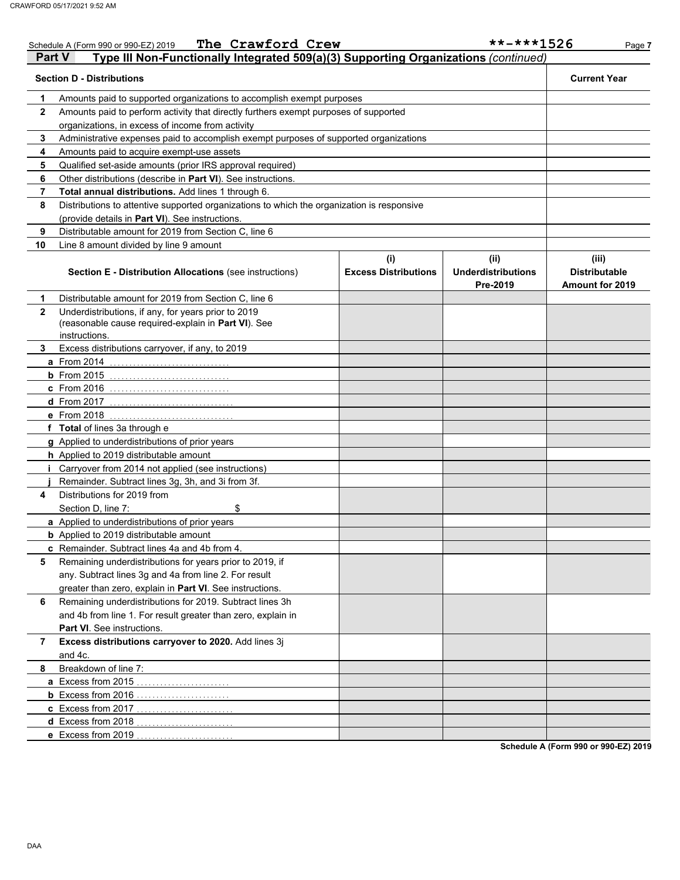|               | The Crawford Crew<br>Schedule A (Form 990 or 990-EZ) 2019                                                                   |                                    | $******1526$                                  | Page 7                                                  |
|---------------|-----------------------------------------------------------------------------------------------------------------------------|------------------------------------|-----------------------------------------------|---------------------------------------------------------|
| <b>Part V</b> | Type III Non-Functionally Integrated 509(a)(3) Supporting Organizations (continued)                                         |                                    |                                               |                                                         |
|               | <b>Section D - Distributions</b>                                                                                            |                                    |                                               | <b>Current Year</b>                                     |
| 1             | Amounts paid to supported organizations to accomplish exempt purposes                                                       |                                    |                                               |                                                         |
| $\mathbf{2}$  | Amounts paid to perform activity that directly furthers exempt purposes of supported                                        |                                    |                                               |                                                         |
|               | organizations, in excess of income from activity                                                                            |                                    |                                               |                                                         |
| 3             | Administrative expenses paid to accomplish exempt purposes of supported organizations                                       |                                    |                                               |                                                         |
| 4             | Amounts paid to acquire exempt-use assets                                                                                   |                                    |                                               |                                                         |
| 5             | Qualified set-aside amounts (prior IRS approval required)                                                                   |                                    |                                               |                                                         |
| 6             | Other distributions (describe in Part VI). See instructions.                                                                |                                    |                                               |                                                         |
| 7             | Total annual distributions. Add lines 1 through 6.                                                                          |                                    |                                               |                                                         |
| 8             | Distributions to attentive supported organizations to which the organization is responsive                                  |                                    |                                               |                                                         |
|               | (provide details in Part VI). See instructions.                                                                             |                                    |                                               |                                                         |
| 9             | Distributable amount for 2019 from Section C, line 6                                                                        |                                    |                                               |                                                         |
| 10            | Line 8 amount divided by line 9 amount                                                                                      |                                    |                                               |                                                         |
|               | <b>Section E - Distribution Allocations (see instructions)</b>                                                              | (i)<br><b>Excess Distributions</b> | (ii)<br><b>Underdistributions</b><br>Pre-2019 | (iii)<br><b>Distributable</b><br><b>Amount for 2019</b> |
| 1             | Distributable amount for 2019 from Section C, line 6                                                                        |                                    |                                               |                                                         |
| $\mathbf{2}$  | Underdistributions, if any, for years prior to 2019<br>(reasonable cause required-explain in Part VI). See<br>instructions. |                                    |                                               |                                                         |
| 3             | Excess distributions carryover, if any, to 2019                                                                             |                                    |                                               |                                                         |
|               | <b>a</b> From 2014                                                                                                          |                                    |                                               |                                                         |
|               | $b$ From 2015                                                                                                               |                                    |                                               |                                                         |
|               | <b>c</b> From 2016                                                                                                          |                                    |                                               |                                                         |
|               | <b>d</b> From 2017                                                                                                          |                                    |                                               |                                                         |
|               | e From 2018                                                                                                                 |                                    |                                               |                                                         |
|               | f Total of lines 3a through e                                                                                               |                                    |                                               |                                                         |
|               | g Applied to underdistributions of prior years                                                                              |                                    |                                               |                                                         |
|               | h Applied to 2019 distributable amount                                                                                      |                                    |                                               |                                                         |
|               | Carryover from 2014 not applied (see instructions)                                                                          |                                    |                                               |                                                         |
|               | Remainder. Subtract lines 3g, 3h, and 3i from 3f.                                                                           |                                    |                                               |                                                         |
| 4             | Distributions for 2019 from                                                                                                 |                                    |                                               |                                                         |
|               | \$<br>Section D, line 7:                                                                                                    |                                    |                                               |                                                         |
|               | a Applied to underdistributions of prior years                                                                              |                                    |                                               |                                                         |
|               | <b>b</b> Applied to 2019 distributable amount                                                                               |                                    |                                               |                                                         |
|               | c Remainder. Subtract lines 4a and 4b from 4.                                                                               |                                    |                                               |                                                         |
| 5             | Remaining underdistributions for years prior to 2019, if                                                                    |                                    |                                               |                                                         |
|               | any. Subtract lines 3g and 4a from line 2. For result                                                                       |                                    |                                               |                                                         |
|               | greater than zero, explain in Part VI. See instructions.                                                                    |                                    |                                               |                                                         |
| 6             | Remaining underdistributions for 2019. Subtract lines 3h                                                                    |                                    |                                               |                                                         |
|               | and 4b from line 1. For result greater than zero, explain in                                                                |                                    |                                               |                                                         |
|               | <b>Part VI</b> . See instructions.                                                                                          |                                    |                                               |                                                         |
| 7             | Excess distributions carryover to 2020. Add lines 3j<br>and 4c.                                                             |                                    |                                               |                                                         |
| 8             | Breakdown of line 7:                                                                                                        |                                    |                                               |                                                         |
|               | a Excess from 2015                                                                                                          |                                    |                                               |                                                         |
|               | <b>b</b> Excess from 2016                                                                                                   |                                    |                                               |                                                         |
|               | c Excess from 2017                                                                                                          |                                    |                                               |                                                         |
|               | d Excess from 2018                                                                                                          |                                    |                                               |                                                         |
|               | e Excess from 2019                                                                                                          |                                    |                                               |                                                         |
|               |                                                                                                                             |                                    |                                               | Schodule A (Form 000 or 000 EZ) 2010                    |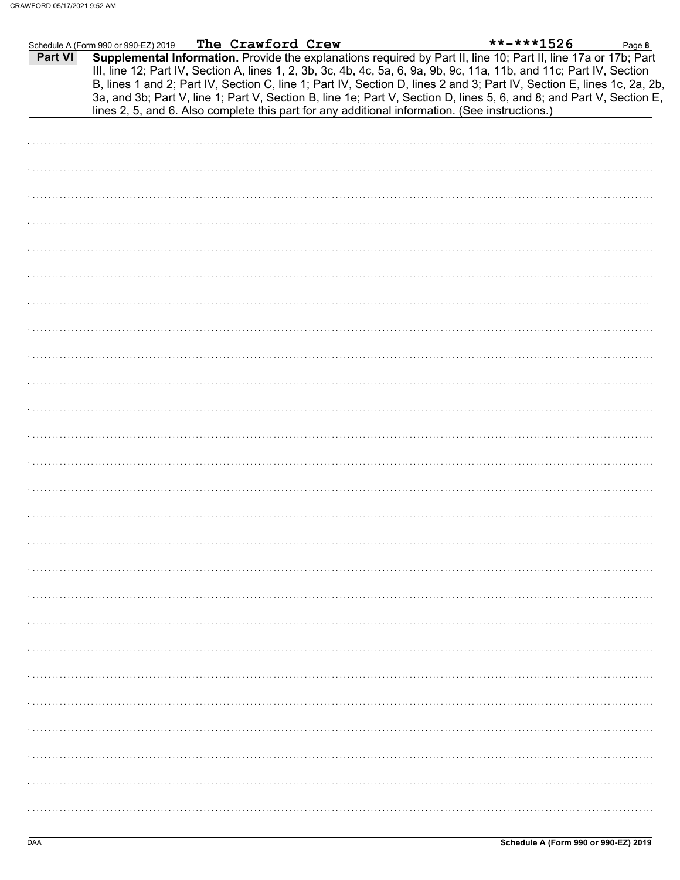|         | Schedule A (Form 990 or 990-EZ) 2019 | The Crawford Crew |                                                                                                | $******1526$                                                                                                                                                                                                                                   | Page 8 |
|---------|--------------------------------------|-------------------|------------------------------------------------------------------------------------------------|------------------------------------------------------------------------------------------------------------------------------------------------------------------------------------------------------------------------------------------------|--------|
| Part VI |                                      |                   |                                                                                                | Supplemental Information. Provide the explanations required by Part II, line 10; Part II, line 17a or 17b; Part                                                                                                                                |        |
|         |                                      |                   |                                                                                                | III, line 12; Part IV, Section A, lines 1, 2, 3b, 3c, 4b, 4c, 5a, 6, 9a, 9b, 9c, 11a, 11b, and 11c; Part IV, Section                                                                                                                           |        |
|         |                                      |                   |                                                                                                | B, lines 1 and 2; Part IV, Section C, line 1; Part IV, Section D, lines 2 and 3; Part IV, Section E, lines 1c, 2a, 2b,<br>3a, and 3b; Part V, line 1; Part V, Section B, line 1e; Part V, Section D, lines 5, 6, and 8; and Part V, Section E, |        |
|         |                                      |                   | lines 2, 5, and 6. Also complete this part for any additional information. (See instructions.) |                                                                                                                                                                                                                                                |        |
|         |                                      |                   |                                                                                                |                                                                                                                                                                                                                                                |        |
|         |                                      |                   |                                                                                                |                                                                                                                                                                                                                                                |        |
|         |                                      |                   |                                                                                                |                                                                                                                                                                                                                                                |        |
|         |                                      |                   |                                                                                                |                                                                                                                                                                                                                                                |        |
|         |                                      |                   |                                                                                                |                                                                                                                                                                                                                                                |        |
|         |                                      |                   |                                                                                                |                                                                                                                                                                                                                                                |        |
|         |                                      |                   |                                                                                                |                                                                                                                                                                                                                                                |        |
|         |                                      |                   |                                                                                                |                                                                                                                                                                                                                                                |        |
|         |                                      |                   |                                                                                                |                                                                                                                                                                                                                                                |        |
|         |                                      |                   |                                                                                                |                                                                                                                                                                                                                                                |        |
|         |                                      |                   |                                                                                                |                                                                                                                                                                                                                                                |        |
|         |                                      |                   |                                                                                                |                                                                                                                                                                                                                                                |        |
|         |                                      |                   |                                                                                                |                                                                                                                                                                                                                                                |        |
|         |                                      |                   |                                                                                                |                                                                                                                                                                                                                                                |        |
|         |                                      |                   |                                                                                                |                                                                                                                                                                                                                                                |        |
|         |                                      |                   |                                                                                                |                                                                                                                                                                                                                                                |        |
|         |                                      |                   |                                                                                                |                                                                                                                                                                                                                                                |        |
|         |                                      |                   |                                                                                                |                                                                                                                                                                                                                                                |        |
|         |                                      |                   |                                                                                                |                                                                                                                                                                                                                                                |        |
|         |                                      |                   |                                                                                                |                                                                                                                                                                                                                                                |        |
|         |                                      |                   |                                                                                                |                                                                                                                                                                                                                                                |        |
|         |                                      |                   |                                                                                                |                                                                                                                                                                                                                                                |        |
|         |                                      |                   |                                                                                                |                                                                                                                                                                                                                                                |        |
|         |                                      |                   |                                                                                                |                                                                                                                                                                                                                                                |        |
|         |                                      |                   |                                                                                                |                                                                                                                                                                                                                                                |        |
|         |                                      |                   |                                                                                                |                                                                                                                                                                                                                                                |        |
|         |                                      |                   |                                                                                                |                                                                                                                                                                                                                                                |        |
|         |                                      |                   |                                                                                                |                                                                                                                                                                                                                                                |        |
|         |                                      |                   |                                                                                                |                                                                                                                                                                                                                                                |        |
|         |                                      |                   |                                                                                                |                                                                                                                                                                                                                                                |        |
|         |                                      |                   |                                                                                                |                                                                                                                                                                                                                                                |        |
|         |                                      |                   |                                                                                                |                                                                                                                                                                                                                                                |        |
|         |                                      |                   |                                                                                                |                                                                                                                                                                                                                                                |        |
|         |                                      |                   |                                                                                                |                                                                                                                                                                                                                                                |        |
|         |                                      |                   |                                                                                                |                                                                                                                                                                                                                                                |        |
|         |                                      |                   |                                                                                                |                                                                                                                                                                                                                                                |        |
|         |                                      |                   |                                                                                                |                                                                                                                                                                                                                                                |        |
|         |                                      |                   |                                                                                                |                                                                                                                                                                                                                                                |        |
|         |                                      |                   |                                                                                                |                                                                                                                                                                                                                                                |        |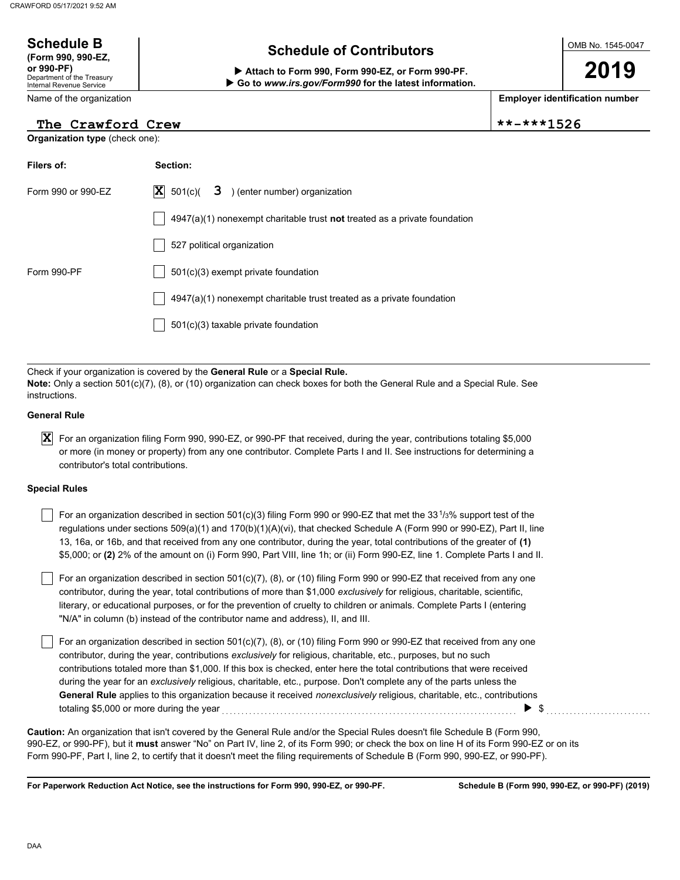## OMB No. 1545-0047 Department of the Treasury Internal Revenue Service Name of the organization **2019 Schedule B**  $\overline{\phantom{a}}$  **Schedule of Contributors (Form 990, 990-EZ, or 990-PF) Attach to Form 990, Form 990-EZ, or Form 990-PF. Employer identification number Organization type** (check one):  **Go to** *www.irs.gov/Form990* **for the latest information. The Crawford Crew \*\*-\*\*\*1526**

| Filers of:         | Section:                                                                           |  |  |  |  |
|--------------------|------------------------------------------------------------------------------------|--|--|--|--|
| Form 990 or 990-EZ | $ \mathbf{X} $ 501(c)( $3$ ) (enter number) organization                           |  |  |  |  |
|                    | $4947(a)(1)$ nonexempt charitable trust <b>not</b> treated as a private foundation |  |  |  |  |
|                    | 527 political organization                                                         |  |  |  |  |
| Form 990-PF        | $501(c)(3)$ exempt private foundation                                              |  |  |  |  |
|                    | $4947(a)(1)$ nonexempt charitable trust treated as a private foundation            |  |  |  |  |
|                    | $501(c)(3)$ taxable private foundation                                             |  |  |  |  |
|                    |                                                                                    |  |  |  |  |

Check if your organization is covered by the **General Rule** or a **Special Rule. Note:** Only a section 501(c)(7), (8), or (10) organization can check boxes for both the General Rule and a Special Rule. See instructions.

## **General Rule**

 $\bm{X}$  For an organization filing Form 990, 990-EZ, or 990-PF that received, during the year, contributions totaling \$5,000 or more (in money or property) from any one contributor. Complete Parts I and II. See instructions for determining a contributor's total contributions.

## **Special Rules**

| For an organization described in section 501(c)(3) filing Form 990 or 990-EZ that met the 33 <sup>1</sup> /3% support test of the |
|-----------------------------------------------------------------------------------------------------------------------------------|
| regulations under sections 509(a)(1) and 170(b)(1)(A)(vi), that checked Schedule A (Form 990 or 990-EZ), Part II, line            |
| 13, 16a, or 16b, and that received from any one contributor, during the year, total contributions of the greater of (1)           |
| \$5,000; or (2) 2% of the amount on (i) Form 990, Part VIII, line 1h; or (ii) Form 990-EZ, line 1. Complete Parts I and II.       |

literary, or educational purposes, or for the prevention of cruelty to children or animals. Complete Parts I (entering For an organization described in section 501(c)(7), (8), or (10) filing Form 990 or 990-EZ that received from any one contributor, during the year, total contributions of more than \$1,000 *exclusively* for religious, charitable, scientific, "N/A" in column (b) instead of the contributor name and address), II, and III.

For an organization described in section 501(c)(7), (8), or (10) filing Form 990 or 990-EZ that received from any one contributor, during the year, contributions *exclusively* for religious, charitable, etc., purposes, but no such contributions totaled more than \$1,000. If this box is checked, enter here the total contributions that were received during the year for an *exclusively* religious, charitable, etc., purpose. Don't complete any of the parts unless the **General Rule** applies to this organization because it received *nonexclusively* religious, charitable, etc., contributions totaling \$5,000 or more during the year . . . . . . . . . . . . . . . . . . . . . . . . . . . . . . . . . . . . . . . . . . . . . . . . . . . . . . . . . . . . . . . . . . . . . . . . . . . . \$ . . . . . . . . . . . . . . . . . . . . . . . . . . .

990-EZ, or 990-PF), but it **must** answer "No" on Part IV, line 2, of its Form 990; or check the box on line H of its Form 990-EZ or on its Form 990-PF, Part I, line 2, to certify that it doesn't meet the filing requirements of Schedule B (Form 990, 990-EZ, or 990-PF). **Caution:** An organization that isn't covered by the General Rule and/or the Special Rules doesn't file Schedule B (Form 990,

**For Paperwork Reduction Act Notice, see the instructions for Form 990, 990-EZ, or 990-PF.**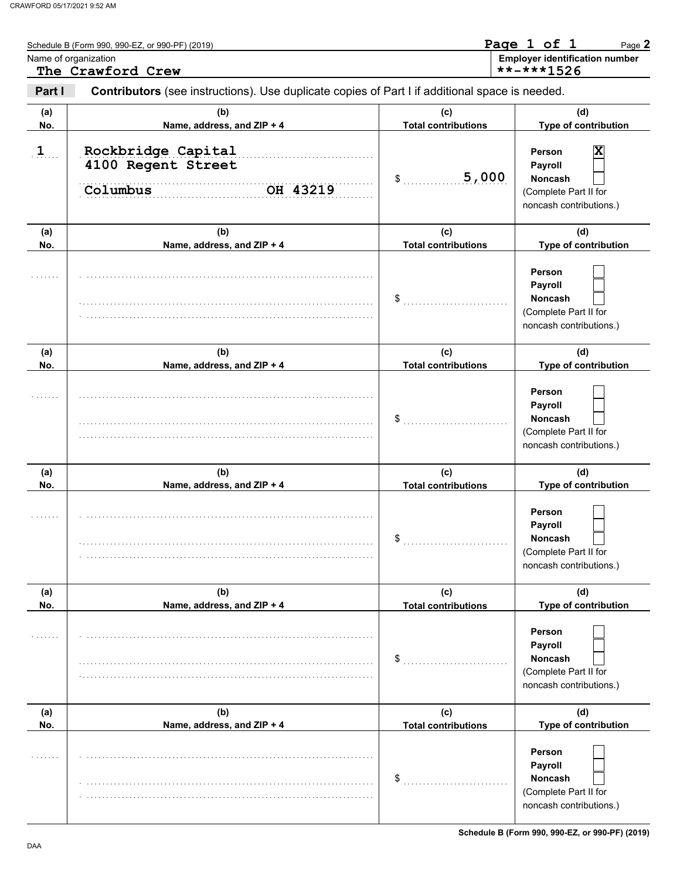|              | Schedule B (Form 990, 990-EZ, or 990-PF) (2019)<br>Name of organization<br>The Crawford Crew   |                                   | Page 1 of 1<br>Page 2<br><b>Employer identification number</b><br>**-***1526                 |
|--------------|------------------------------------------------------------------------------------------------|-----------------------------------|----------------------------------------------------------------------------------------------|
| Part I       | Contributors (see instructions). Use duplicate copies of Part I if additional space is needed. |                                   |                                                                                              |
| (a)<br>No.   | (b)<br>Name, address, and ZIP + 4                                                              | (c)<br><b>Total contributions</b> | (d)<br>Type of contribution                                                                  |
| $\mathbf{1}$ | Rockbridge Capital<br>4100 Regent Street<br>OH 43219<br>Columbus                               | 5,000<br>\$                       | X<br>Person<br>Payroll<br><b>Noncash</b><br>(Complete Part II for<br>noncash contributions.) |
| (a)<br>No.   | (b)<br>Name, address, and ZIP + 4                                                              | (c)<br><b>Total contributions</b> | (d)<br>Type of contribution                                                                  |
|              |                                                                                                | \$                                | Person<br>Payroll<br><b>Noncash</b><br>(Complete Part II for<br>noncash contributions.)      |
| (a)<br>No.   | (b)<br>Name, address, and ZIP + 4                                                              | (c)<br><b>Total contributions</b> | (d)<br>Type of contribution                                                                  |
|              |                                                                                                | \$                                | Person<br>Payroll<br><b>Noncash</b><br>(Complete Part II for<br>noncash contributions.)      |
| (a)<br>No.   | (b)<br>Name, address, and ZIP + 4                                                              | (c)<br><b>Total contributions</b> | (d)<br>Type of contribution                                                                  |
|              |                                                                                                | \$                                | Person<br>Payroll<br>Noncash<br>(Complete Part II for<br>noncash contributions.)             |
| (a)<br>No.   | (b)<br>Name, address, and ZIP + 4                                                              | (c)<br><b>Total contributions</b> | (d)<br>Type of contribution                                                                  |
|              |                                                                                                | \$                                | Person<br>Payroll<br>Noncash<br>(Complete Part II for<br>noncash contributions.)             |
| (a)<br>No.   | (b)<br>Name, address, and ZIP + 4                                                              | (c)<br><b>Total contributions</b> | (d)<br>Type of contribution                                                                  |
|              |                                                                                                | \$                                | Person<br>Payroll<br>Noncash<br>(Complete Part II for<br>noncash contributions.)             |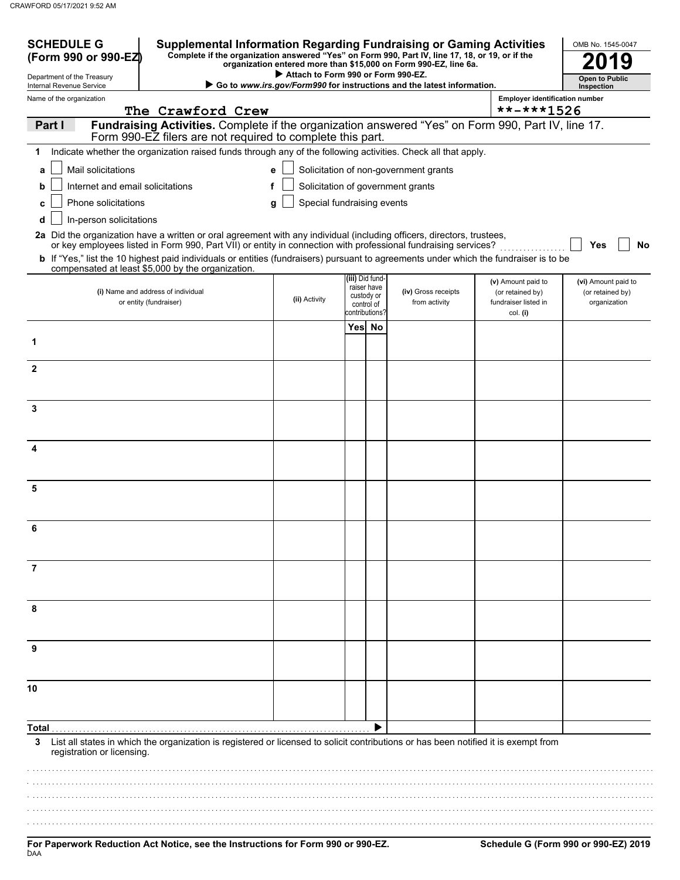| <b>SCHEDULE G</b><br><b>Supplemental Information Regarding Fundraising or Gaming Activities</b><br>Complete if the organization answered "Yes" on Form 990, Part IV, line 17, 18, or 19, or if the<br>(Form 990 or 990-EZ)<br>organization entered more than \$15,000 on Form 990-EZ, line 6a. |                                                                                                                                                                                                                                          |                                                                        |                                       |                                         |                                       | OMB No. 1545-0047                                    |                                  |
|------------------------------------------------------------------------------------------------------------------------------------------------------------------------------------------------------------------------------------------------------------------------------------------------|------------------------------------------------------------------------------------------------------------------------------------------------------------------------------------------------------------------------------------------|------------------------------------------------------------------------|---------------------------------------|-----------------------------------------|---------------------------------------|------------------------------------------------------|----------------------------------|
| Department of the Treasury                                                                                                                                                                                                                                                                     |                                                                                                                                                                                                                                          | Attach to Form 990 or Form 990-EZ.                                     |                                       | <b>Open to Public</b>                   |                                       |                                                      |                                  |
| Internal Revenue Service<br>Name of the organization                                                                                                                                                                                                                                           |                                                                                                                                                                                                                                          | Go to www.irs.gov/Form990 for instructions and the latest information. | <b>Employer identification number</b> | Inspection                              |                                       |                                                      |                                  |
|                                                                                                                                                                                                                                                                                                | The Crawford Crew<br>**-***1526                                                                                                                                                                                                          |                                                                        |                                       |                                         |                                       |                                                      |                                  |
| Part I                                                                                                                                                                                                                                                                                         | Fundraising Activities. Complete if the organization answered "Yes" on Form 990, Part IV, line 17.<br>Form 990-EZ filers are not required to complete this part.                                                                         |                                                                        |                                       |                                         |                                       |                                                      |                                  |
| 1                                                                                                                                                                                                                                                                                              | Indicate whether the organization raised funds through any of the following activities. Check all that apply.                                                                                                                            |                                                                        |                                       |                                         |                                       |                                                      |                                  |
| Mail solicitations<br>a                                                                                                                                                                                                                                                                        |                                                                                                                                                                                                                                          | e                                                                      |                                       |                                         | Solicitation of non-government grants |                                                      |                                  |
| Internet and email solicitations<br>b                                                                                                                                                                                                                                                          |                                                                                                                                                                                                                                          | f                                                                      |                                       |                                         | Solicitation of government grants     |                                                      |                                  |
| Phone solicitations<br>c                                                                                                                                                                                                                                                                       |                                                                                                                                                                                                                                          | Special fundraising events<br>a                                        |                                       |                                         |                                       |                                                      |                                  |
| In-person solicitations<br>d                                                                                                                                                                                                                                                                   |                                                                                                                                                                                                                                          |                                                                        |                                       |                                         |                                       |                                                      |                                  |
|                                                                                                                                                                                                                                                                                                | 2a Did the organization have a written or oral agreement with any individual (including officers, directors, trustees,<br>or key employees listed in Form 990, Part VII) or entity in connection with professional fundraising services? |                                                                        |                                       |                                         |                                       |                                                      | No<br>Yes                        |
|                                                                                                                                                                                                                                                                                                | <b>b</b> If "Yes," list the 10 highest paid individuals or entities (fundraisers) pursuant to agreements under which the fundraiser is to be                                                                                             |                                                                        |                                       |                                         |                                       |                                                      |                                  |
|                                                                                                                                                                                                                                                                                                | compensated at least \$5,000 by the organization.                                                                                                                                                                                        |                                                                        | (iii) Did fund-                       |                                         |                                       | (v) Amount paid to                                   | (vi) Amount paid to              |
| (i) Name and address of individual<br>or entity (fundraiser)                                                                                                                                                                                                                                   |                                                                                                                                                                                                                                          | (ii) Activity                                                          | contributions?                        | raiser have<br>custody or<br>control of | (iv) Gross receipts<br>from activity  | (or retained by)<br>fundraiser listed in<br>col. (i) | (or retained by)<br>organization |
|                                                                                                                                                                                                                                                                                                |                                                                                                                                                                                                                                          |                                                                        |                                       | Yes No                                  |                                       |                                                      |                                  |
| 1                                                                                                                                                                                                                                                                                              |                                                                                                                                                                                                                                          |                                                                        |                                       |                                         |                                       |                                                      |                                  |
| $\overline{2}$                                                                                                                                                                                                                                                                                 |                                                                                                                                                                                                                                          |                                                                        |                                       |                                         |                                       |                                                      |                                  |
|                                                                                                                                                                                                                                                                                                |                                                                                                                                                                                                                                          |                                                                        |                                       |                                         |                                       |                                                      |                                  |
| 3                                                                                                                                                                                                                                                                                              |                                                                                                                                                                                                                                          |                                                                        |                                       |                                         |                                       |                                                      |                                  |
|                                                                                                                                                                                                                                                                                                |                                                                                                                                                                                                                                          |                                                                        |                                       |                                         |                                       |                                                      |                                  |
| 4                                                                                                                                                                                                                                                                                              |                                                                                                                                                                                                                                          |                                                                        |                                       |                                         |                                       |                                                      |                                  |
|                                                                                                                                                                                                                                                                                                |                                                                                                                                                                                                                                          |                                                                        |                                       |                                         |                                       |                                                      |                                  |
| 5                                                                                                                                                                                                                                                                                              |                                                                                                                                                                                                                                          |                                                                        |                                       |                                         |                                       |                                                      |                                  |
|                                                                                                                                                                                                                                                                                                |                                                                                                                                                                                                                                          |                                                                        |                                       |                                         |                                       |                                                      |                                  |
| ĥ                                                                                                                                                                                                                                                                                              |                                                                                                                                                                                                                                          |                                                                        |                                       |                                         |                                       |                                                      |                                  |
|                                                                                                                                                                                                                                                                                                |                                                                                                                                                                                                                                          |                                                                        |                                       |                                         |                                       |                                                      |                                  |
| 7                                                                                                                                                                                                                                                                                              |                                                                                                                                                                                                                                          |                                                                        |                                       |                                         |                                       |                                                      |                                  |
| 8                                                                                                                                                                                                                                                                                              |                                                                                                                                                                                                                                          |                                                                        |                                       |                                         |                                       |                                                      |                                  |
|                                                                                                                                                                                                                                                                                                |                                                                                                                                                                                                                                          |                                                                        |                                       |                                         |                                       |                                                      |                                  |
|                                                                                                                                                                                                                                                                                                |                                                                                                                                                                                                                                          |                                                                        |                                       |                                         |                                       |                                                      |                                  |
|                                                                                                                                                                                                                                                                                                |                                                                                                                                                                                                                                          |                                                                        |                                       |                                         |                                       |                                                      |                                  |
| 10                                                                                                                                                                                                                                                                                             |                                                                                                                                                                                                                                          |                                                                        |                                       |                                         |                                       |                                                      |                                  |
|                                                                                                                                                                                                                                                                                                |                                                                                                                                                                                                                                          |                                                                        |                                       |                                         |                                       |                                                      |                                  |
|                                                                                                                                                                                                                                                                                                |                                                                                                                                                                                                                                          |                                                                        |                                       |                                         |                                       |                                                      |                                  |
| 3<br>registration or licensing.                                                                                                                                                                                                                                                                | List all states in which the organization is registered or licensed to solicit contributions or has been notified it is exempt from                                                                                                      |                                                                        |                                       |                                         |                                       |                                                      |                                  |
|                                                                                                                                                                                                                                                                                                |                                                                                                                                                                                                                                          |                                                                        |                                       |                                         |                                       |                                                      |                                  |
|                                                                                                                                                                                                                                                                                                |                                                                                                                                                                                                                                          |                                                                        |                                       |                                         |                                       |                                                      |                                  |
|                                                                                                                                                                                                                                                                                                |                                                                                                                                                                                                                                          |                                                                        |                                       |                                         |                                       |                                                      |                                  |
|                                                                                                                                                                                                                                                                                                |                                                                                                                                                                                                                                          |                                                                        |                                       |                                         |                                       |                                                      |                                  |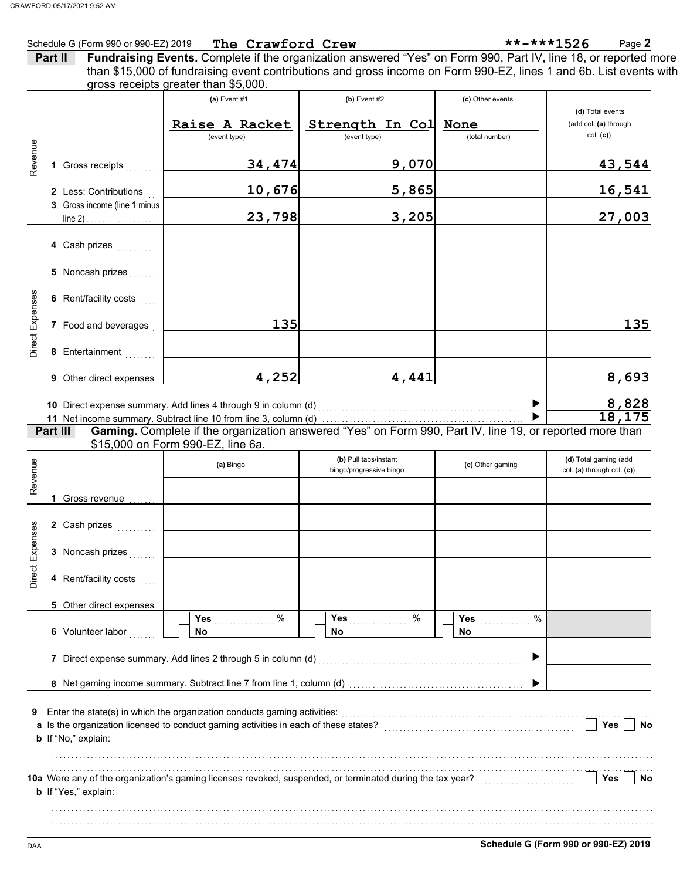| Schedule G (Form 990 or 990-EZ) 2019 | The Crawford Crew | ◠<br>**-***1526<br>$P$ age $\mathbb{Z}$ |
|--------------------------------------|-------------------|-----------------------------------------|
|                                      |                   |                                         |

| Part II | <b>Fundraising Events.</b> Complete if the organization answered "Yes" on Form 990, Part IV, line 18, or reported more |
|---------|------------------------------------------------------------------------------------------------------------------------|
|         | than \$15,000 of fundraising event contributions and gross income on Form 990-EZ, lines 1 and 6b. List events with     |
|         | gross receipts greater than \$5,000.                                                                                   |

| Revenue         |                                                                                                                                                                                                                                                         | 1 Gross receipts<br>2 Less: Contributions<br>3 Gross income (line 1 minus                                     | (a) Event $#1$<br>Raise A Racket<br>(event type)<br>34, 474<br>10,676<br>23,798                                                                                                                                                         | $(b)$ Event #2<br>Strength In Col None<br>(event type)<br>9,070<br>5,865<br>3,205 | (c) Other events<br>(total number) | (d) Total events<br>(add col. (a) through<br>col. (c)<br>43,544<br>16,541<br>27,003 |  |  |  |
|-----------------|---------------------------------------------------------------------------------------------------------------------------------------------------------------------------------------------------------------------------------------------------------|---------------------------------------------------------------------------------------------------------------|-----------------------------------------------------------------------------------------------------------------------------------------------------------------------------------------------------------------------------------------|-----------------------------------------------------------------------------------|------------------------------------|-------------------------------------------------------------------------------------|--|--|--|
| Direct Expenses |                                                                                                                                                                                                                                                         | 4 Cash prizes<br>5 Noncash prizes<br>6 Rent/facility costs<br>7 Food and beverages                            | 135                                                                                                                                                                                                                                     |                                                                                   |                                    | 135                                                                                 |  |  |  |
|                 |                                                                                                                                                                                                                                                         | 8 Entertainment<br><b>9</b> Other direct expenses                                                             | 4,252<br>10 Direct expense summary. Add lines 4 through 9 in column (d) [[[[[21]] [[21] [[21] [[31] [[31] [[31] [[31] [[31] [[31] [[31] [[31] [[31] [[31] [[31] [[31] [[31] [[31] [[31] [[31] [[31] [[31] [[31] [[31] [[31] [[31] [[31] | 4,441                                                                             |                                    | 8,693<br>8,828<br>18,175                                                            |  |  |  |
|                 | Part III                                                                                                                                                                                                                                                |                                                                                                               | Gaming. Complete if the organization answered "Yes" on Form 990, Part IV, line 19, or reported more than<br>\$15,000 on Form 990-EZ, line 6a.                                                                                           |                                                                                   |                                    |                                                                                     |  |  |  |
| Revenue         |                                                                                                                                                                                                                                                         | 1 Gross revenue                                                                                               | (a) Bingo                                                                                                                                                                                                                               | (b) Pull tabs/instant<br>bingo/progressive bingo                                  | (c) Other gaming                   | (d) Total gaming (add<br>col. (a) through col. (c))                                 |  |  |  |
| Direct Expenses |                                                                                                                                                                                                                                                         | 2 Cash prizes<br>3 Noncash prizes<br>4 Rent/facility costs   <br>5 Other direct expenses<br>6 Volunteer labor | %<br>Yes<br><b>No</b><br>7 Direct expense summary. Add lines 2 through 5 in column (d)                                                                                                                                                  | $\%$<br>Yes<br><b>No</b>                                                          | %<br>Yes<br>No<br>▶                |                                                                                     |  |  |  |
| 9               | Enter the state(s) in which the organization conducts gaming activities:<br>a Is the organization licensed to conduct gaming activities in each of these states?<br>Yes<br>No<br>b If "No," explain:<br>Yes<br><b>No</b><br><b>b</b> If "Yes," explain: |                                                                                                               |                                                                                                                                                                                                                                         |                                                                                   |                                    |                                                                                     |  |  |  |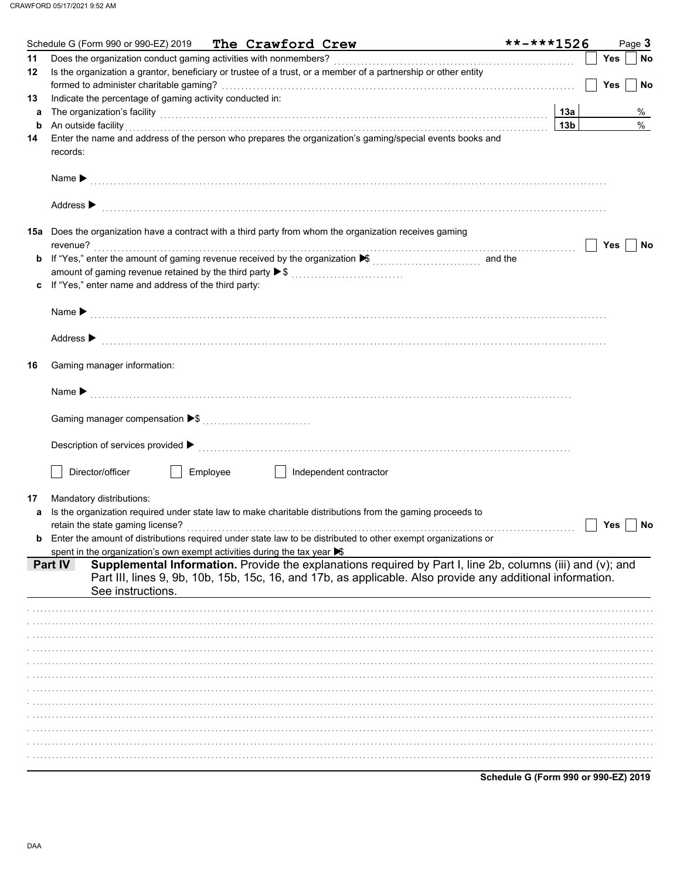|    | Schedule G (Form 990 or 990-EZ) 2019 The Crawford Crew                                                                                                                                                                                                          | **-***1526                           | Page 3                  |
|----|-----------------------------------------------------------------------------------------------------------------------------------------------------------------------------------------------------------------------------------------------------------------|--------------------------------------|-------------------------|
| 11 | Does the organization conduct gaming activities with nonmembers?                                                                                                                                                                                                |                                      | Yes<br>No               |
| 12 | Is the organization a grantor, beneficiary or trustee of a trust, or a member of a partnership or other entity                                                                                                                                                  |                                      | <b>Yes</b><br><b>No</b> |
| 13 | Indicate the percentage of gaming activity conducted in:                                                                                                                                                                                                        |                                      |                         |
| a  | The organization's facility encouragement and the organization's facility entries and the organization's facility                                                                                                                                               | 13a                                  | %                       |
| b  | An outside facility with an account of the set of the set of the set of the set of the set of the set of the set of the set of the set of the set of the set of the set of the set of the set of the set of the set of the set                                  | 13 <sub>b</sub>                      | $\%$                    |
| 14 | Enter the name and address of the person who prepares the organization's gaming/special events books and<br>records:                                                                                                                                            |                                      |                         |
|    | Name > 2000 compared to the contract of the contract of the contract of the contract of the contract of the contract of the contract of the contract of the contract of the contract of the contract of the contract of the co                                  |                                      |                         |
|    | Address $\blacktriangleright$                                                                                                                                                                                                                                   |                                      |                         |
|    | 15a Does the organization have a contract with a third party from whom the organization receives gaming<br>revenue?                                                                                                                                             |                                      | Yes<br>No               |
| b  | If "Yes," enter the amount of gaming revenue received by the organization ▶ (\\times\)                                                                                                                                                                          |                                      |                         |
|    | amount of gaming revenue retained by the third party ▶ \$                                                                                                                                                                                                       |                                      |                         |
| c  | If "Yes," enter name and address of the third party:                                                                                                                                                                                                            |                                      |                         |
|    |                                                                                                                                                                                                                                                                 |                                      |                         |
|    | Address $\blacktriangleright$                                                                                                                                                                                                                                   |                                      |                         |
| 16 | Gaming manager information:                                                                                                                                                                                                                                     |                                      |                         |
|    |                                                                                                                                                                                                                                                                 |                                      |                         |
|    |                                                                                                                                                                                                                                                                 |                                      |                         |
|    |                                                                                                                                                                                                                                                                 |                                      |                         |
|    | Employee<br>Director/officer<br>Independent contractor                                                                                                                                                                                                          |                                      |                         |
| 17 | Mandatory distributions:                                                                                                                                                                                                                                        |                                      |                         |
| а  | Is the organization required under state law to make charitable distributions from the gaming proceeds to                                                                                                                                                       |                                      |                         |
|    |                                                                                                                                                                                                                                                                 |                                      | Yes<br>No               |
| b  | Enter the amount of distributions required under state law to be distributed to other exempt organizations or                                                                                                                                                   |                                      |                         |
|    | spent in the organization's own exempt activities during the tax year $\blacktriangleright$                                                                                                                                                                     |                                      |                         |
|    | Supplemental Information. Provide the explanations required by Part I, line 2b, columns (iii) and (v); and<br><b>Part IV</b><br>Part III, lines 9, 9b, 10b, 15b, 15c, 16, and 17b, as applicable. Also provide any additional information.<br>See instructions. |                                      |                         |
|    |                                                                                                                                                                                                                                                                 |                                      |                         |
|    |                                                                                                                                                                                                                                                                 |                                      |                         |
|    |                                                                                                                                                                                                                                                                 |                                      |                         |
|    |                                                                                                                                                                                                                                                                 |                                      |                         |
|    |                                                                                                                                                                                                                                                                 |                                      |                         |
|    |                                                                                                                                                                                                                                                                 |                                      |                         |
|    |                                                                                                                                                                                                                                                                 |                                      |                         |
|    |                                                                                                                                                                                                                                                                 |                                      |                         |
|    |                                                                                                                                                                                                                                                                 |                                      |                         |
|    |                                                                                                                                                                                                                                                                 |                                      |                         |
|    |                                                                                                                                                                                                                                                                 |                                      |                         |
|    |                                                                                                                                                                                                                                                                 | Schedule G (Form 990 or 990-EZ) 2019 |                         |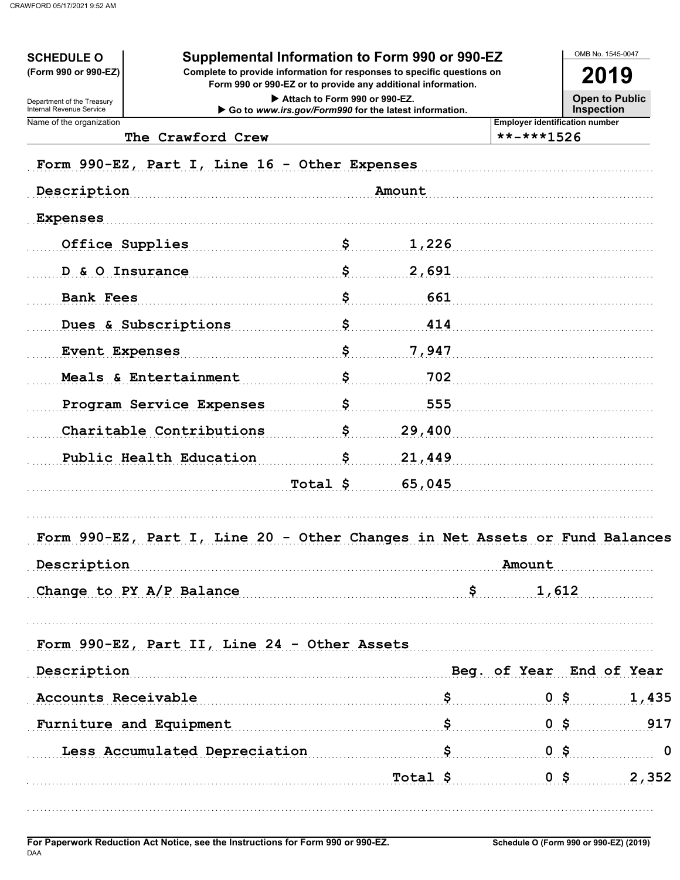| <b>SCHEDULE O</b><br>(Form 990 or 990-EZ)              | Supplemental Information to Form 990 or 990-EZ<br>Complete to provide information for responses to specific questions on<br>Form 990 or 990-EZ or to provide any additional information. |          |        |     |                                                     | 2019 |                                            |  |
|--------------------------------------------------------|------------------------------------------------------------------------------------------------------------------------------------------------------------------------------------------|----------|--------|-----|-----------------------------------------------------|------|--------------------------------------------|--|
| Department of the Treasury<br>Internal Revenue Service | Attach to Form 990 or 990-EZ.<br>Go to www.irs.gov/Form990 for the latest information.                                                                                                   |          |        |     |                                                     |      | <b>Open to Public</b><br><b>Inspection</b> |  |
| Name of the organization                               | The Crawford Crew                                                                                                                                                                        |          |        |     | <b>Employer identification number</b><br>**-***1526 |      |                                            |  |
|                                                        |                                                                                                                                                                                          |          |        |     |                                                     |      |                                            |  |
|                                                        | Form 990-EZ, Part I, Line 16 - Other Expenses                                                                                                                                            |          |        |     |                                                     |      |                                            |  |
| Description                                            |                                                                                                                                                                                          |          | Amount |     |                                                     |      |                                            |  |
| <b>Expenses</b>                                        |                                                                                                                                                                                          |          |        |     |                                                     |      |                                            |  |
| Office Supplies                                        |                                                                                                                                                                                          | Ş        | 1,226  |     |                                                     |      |                                            |  |
| D & O Insurance                                        |                                                                                                                                                                                          | Ş        | 2,691  |     |                                                     |      |                                            |  |
| <b>Bank Fees</b>                                       |                                                                                                                                                                                          | \$       |        | 661 |                                                     |      |                                            |  |
| Dues & Subscriptions                                   |                                                                                                                                                                                          | \$       |        | 414 |                                                     |      |                                            |  |
| <b>Event Expenses</b>                                  |                                                                                                                                                                                          | \$       | 7,947  |     |                                                     |      |                                            |  |
| Meals & Entertainment                                  |                                                                                                                                                                                          | \$       |        | 702 |                                                     |      |                                            |  |
|                                                        | Program Service Expenses                                                                                                                                                                 | \$       |        | 555 |                                                     |      |                                            |  |
|                                                        | Charitable Contributions                                                                                                                                                                 | s        | 29,400 |     |                                                     |      |                                            |  |
|                                                        | Public Health Education                                                                                                                                                                  | s        | 21,449 |     |                                                     |      |                                            |  |
|                                                        |                                                                                                                                                                                          | Total \$ | 65,045 |     |                                                     |      |                                            |  |
|                                                        |                                                                                                                                                                                          |          |        |     |                                                     |      |                                            |  |
|                                                        | Form 990-EZ, Part I, Line 20 - Other Changes in Net Assets or Fund Balances                                                                                                              |          |        |     |                                                     |      |                                            |  |
| Description                                            |                                                                                                                                                                                          |          |        |     | Amount                                              |      |                                            |  |
|                                                        | Change to PY $A/P$ Balance $S$ 1,612                                                                                                                                                     |          |        |     |                                                     |      |                                            |  |
|                                                        |                                                                                                                                                                                          |          |        |     |                                                     |      |                                            |  |
|                                                        | Form $990-EZ$ , Part II, Line $24$ - Other Assets                                                                                                                                        |          |        |     |                                                     |      |                                            |  |
| Description                                            | Beg. of Year End of Year                                                                                                                                                                 |          |        |     |                                                     |      |                                            |  |
|                                                        | Accounts Receivable $\sim$ \$ 0 \$ 1,435                                                                                                                                                 |          |        |     |                                                     |      |                                            |  |
|                                                        | Furniture and Equipment 5 5 0 \$ 917                                                                                                                                                     |          |        |     |                                                     |      |                                            |  |
|                                                        |                                                                                                                                                                                          |          |        |     |                                                     |      |                                            |  |
|                                                        | Less Accumulated Depreciation 5 0 \$ 0 0 0                                                                                                                                               |          |        |     |                                                     |      |                                            |  |